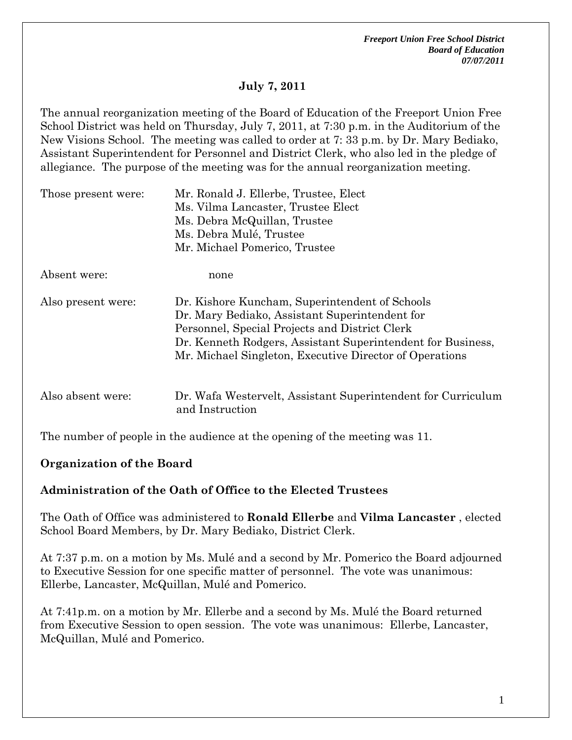# **July 7, 2011**

The annual reorganization meeting of the Board of Education of the Freeport Union Free School District was held on Thursday, July 7, 2011, at 7:30 p.m. in the Auditorium of the New Visions School. The meeting was called to order at 7: 33 p.m. by Dr. Mary Bediako, Assistant Superintendent for Personnel and District Clerk, who also led in the pledge of allegiance. The purpose of the meeting was for the annual reorganization meeting.

| Those present were: | Mr. Ronald J. Ellerbe, Trustee, Elect<br>Ms. Vilma Lancaster, Trustee Elect<br>Ms. Debra McQuillan, Trustee<br>Ms. Debra Mulé, Trustee                                                                                                                                       |  |  |
|---------------------|------------------------------------------------------------------------------------------------------------------------------------------------------------------------------------------------------------------------------------------------------------------------------|--|--|
|                     | Mr. Michael Pomerico, Trustee                                                                                                                                                                                                                                                |  |  |
| Absent were:        | none                                                                                                                                                                                                                                                                         |  |  |
| Also present were:  | Dr. Kishore Kuncham, Superintendent of Schools<br>Dr. Mary Bediako, Assistant Superintendent for<br>Personnel, Special Projects and District Clerk<br>Dr. Kenneth Rodgers, Assistant Superintendent for Business,<br>Mr. Michael Singleton, Executive Director of Operations |  |  |
| Also absent were:   | Dr. Wafa Westervelt, Assistant Superintendent for Curriculum<br>and Instruction                                                                                                                                                                                              |  |  |

The number of people in the audience at the opening of the meeting was 11.

## **Organization of the Board**

### **Administration of the Oath of Office to the Elected Trustees**

The Oath of Office was administered to **Ronald Ellerbe** and **Vilma Lancaster** , elected School Board Members, by Dr. Mary Bediako, District Clerk.

At 7:37 p.m. on a motion by Ms. Mulé and a second by Mr. Pomerico the Board adjourned to Executive Session for one specific matter of personnel. The vote was unanimous: Ellerbe, Lancaster, McQuillan, Mulé and Pomerico.

At 7:41p.m. on a motion by Mr. Ellerbe and a second by Ms. Mulé the Board returned from Executive Session to open session. The vote was unanimous: Ellerbe, Lancaster, McQuillan, Mulé and Pomerico.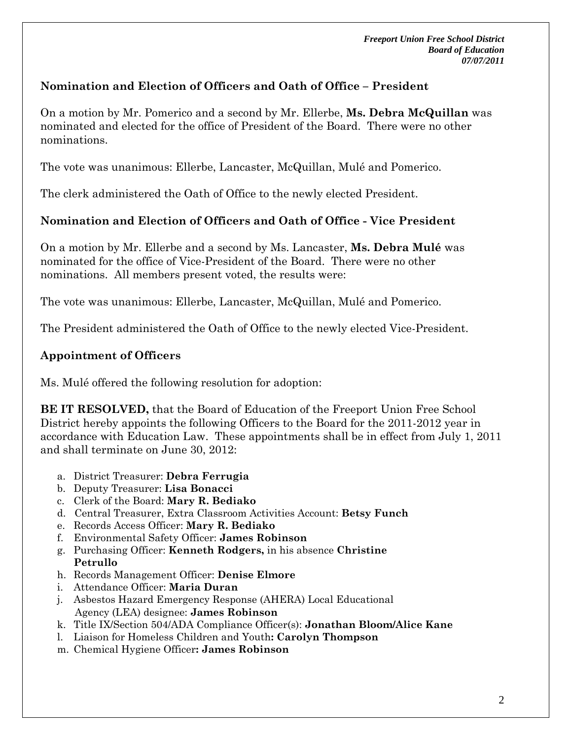## **Nomination and Election of Officers and Oath of Office – President**

On a motion by Mr. Pomerico and a second by Mr. Ellerbe, **Ms. Debra McQuillan** was nominated and elected for the office of President of the Board. There were no other nominations.

The vote was unanimous: Ellerbe, Lancaster, McQuillan, Mulé and Pomerico.

The clerk administered the Oath of Office to the newly elected President.

### **Nomination and Election of Officers and Oath of Office - Vice President**

On a motion by Mr. Ellerbe and a second by Ms. Lancaster, **Ms. Debra Mulé** was nominated for the office of Vice-President of the Board. There were no other nominations. All members present voted, the results were:

The vote was unanimous: Ellerbe, Lancaster, McQuillan, Mulé and Pomerico.

The President administered the Oath of Office to the newly elected Vice-President.

### **Appointment of Officers**

Ms. Mulé offered the following resolution for adoption:

**BE IT RESOLVED,** that the Board of Education of the Freeport Union Free School District hereby appoints the following Officers to the Board for the 2011-2012 year in accordance with Education Law. These appointments shall be in effect from July 1, 2011 and shall terminate on June 30, 2012:

- a. District Treasurer: **Debra Ferrugia**
- b. Deputy Treasurer: **Lisa Bonacci**
- c. Clerk of the Board: **Mary R. Bediako**
- d. Central Treasurer, Extra Classroom Activities Account: **Betsy Funch**
- e. Records Access Officer: **Mary R. Bediako**
- f. Environmental Safety Officer: **James Robinson**
- g. Purchasing Officer: **Kenneth Rodgers,** in his absence **Christine Petrullo**
- h. Records Management Officer: **Denise Elmore**
- i. Attendance Officer: **Maria Duran**
- j. Asbestos Hazard Emergency Response (AHERA) Local Educational Agency (LEA) designee: **James Robinson**
- k. Title IX/Section 504/ADA Compliance Officer(s): **Jonathan Bloom/Alice Kane**
- l. Liaison for Homeless Children and Youth**: Carolyn Thompson**
- m.Chemical Hygiene Officer**: James Robinson**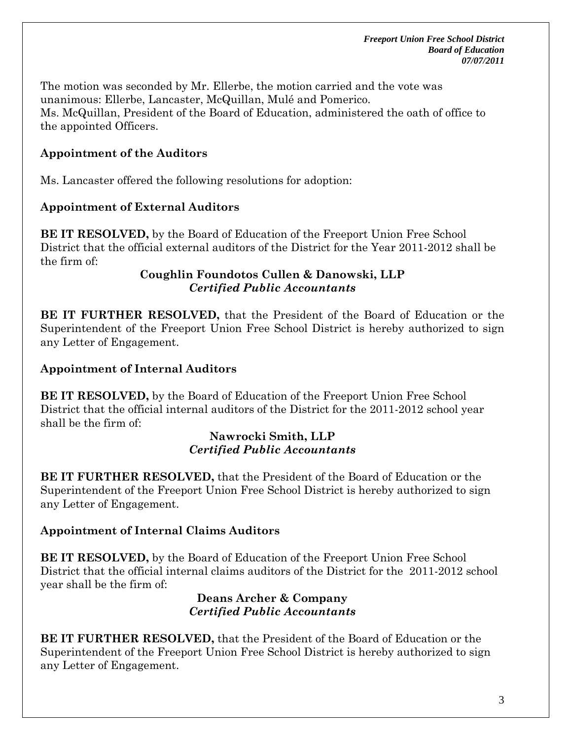The motion was seconded by Mr. Ellerbe, the motion carried and the vote was unanimous: Ellerbe, Lancaster, McQuillan, Mulé and Pomerico. Ms. McQuillan, President of the Board of Education, administered the oath of office to the appointed Officers.

# **Appointment of the Auditors**

Ms. Lancaster offered the following resolutions for adoption:

# **Appointment of External Auditors**

**BE IT RESOLVED,** by the Board of Education of the Freeport Union Free School District that the official external auditors of the District for the Year 2011-2012 shall be the firm of:

### **Coughlin Foundotos Cullen & Danowski, LLP**  *Certified Public Accountants*

**BE IT FURTHER RESOLVED,** that the President of the Board of Education or the Superintendent of the Freeport Union Free School District is hereby authorized to sign any Letter of Engagement.

# **Appointment of Internal Auditors**

**BE IT RESOLVED,** by the Board of Education of the Freeport Union Free School District that the official internal auditors of the District for the 2011-2012 school year shall be the firm of:

### **Nawrocki Smith, LLP**  *Certified Public Accountants*

**BE IT FURTHER RESOLVED,** that the President of the Board of Education or the Superintendent of the Freeport Union Free School District is hereby authorized to sign any Letter of Engagement.

# **Appointment of Internal Claims Auditors**

**BE IT RESOLVED,** by the Board of Education of the Freeport Union Free School District that the official internal claims auditors of the District for the 2011-2012 school year shall be the firm of:

#### **Deans Archer & Company**  *Certified Public Accountants*

**BE IT FURTHER RESOLVED,** that the President of the Board of Education or the Superintendent of the Freeport Union Free School District is hereby authorized to sign any Letter of Engagement.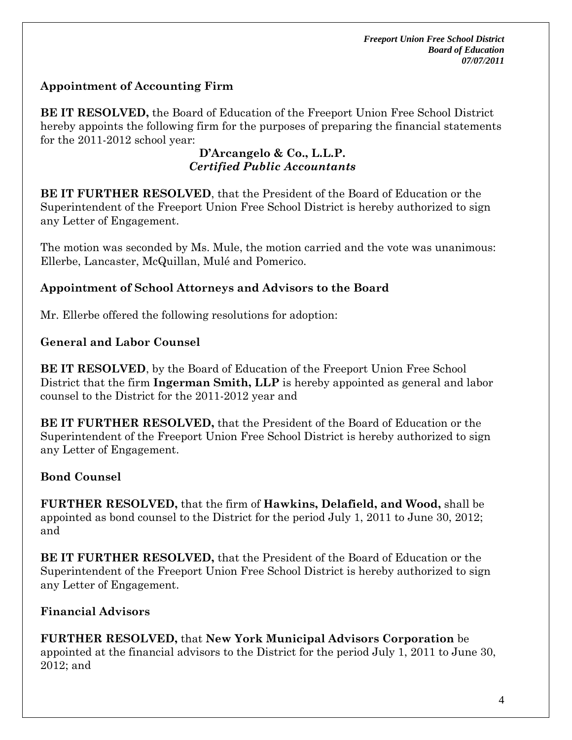# **Appointment of Accounting Firm**

**BE IT RESOLVED,** the Board of Education of the Freeport Union Free School District hereby appoints the following firm for the purposes of preparing the financial statements for the 2011-2012 school year:

### **D'Arcangelo & Co., L.L.P.** *Certified Public Accountants*

**BE IT FURTHER RESOLVED**, that the President of the Board of Education or the Superintendent of the Freeport Union Free School District is hereby authorized to sign any Letter of Engagement.

The motion was seconded by Ms. Mule, the motion carried and the vote was unanimous: Ellerbe, Lancaster, McQuillan, Mulé and Pomerico.

## **Appointment of School Attorneys and Advisors to the Board**

Mr. Ellerbe offered the following resolutions for adoption:

### **General and Labor Counsel**

**BE IT RESOLVED**, by the Board of Education of the Freeport Union Free School District that the firm **Ingerman Smith, LLP** is hereby appointed as general and labor counsel to the District for the 2011-2012 year and

**BE IT FURTHER RESOLVED,** that the President of the Board of Education or the Superintendent of the Freeport Union Free School District is hereby authorized to sign any Letter of Engagement.

## **Bond Counsel**

**FURTHER RESOLVED,** that the firm of **Hawkins, Delafield, and Wood,** shall be appointed as bond counsel to the District for the period July 1, 2011 to June 30, 2012; and

**BE IT FURTHER RESOLVED,** that the President of the Board of Education or the Superintendent of the Freeport Union Free School District is hereby authorized to sign any Letter of Engagement.

## **Financial Advisors**

**FURTHER RESOLVED,** that **New York Municipal Advisors Corporation** be appointed at the financial advisors to the District for the period July 1, 2011 to June 30, 2012; and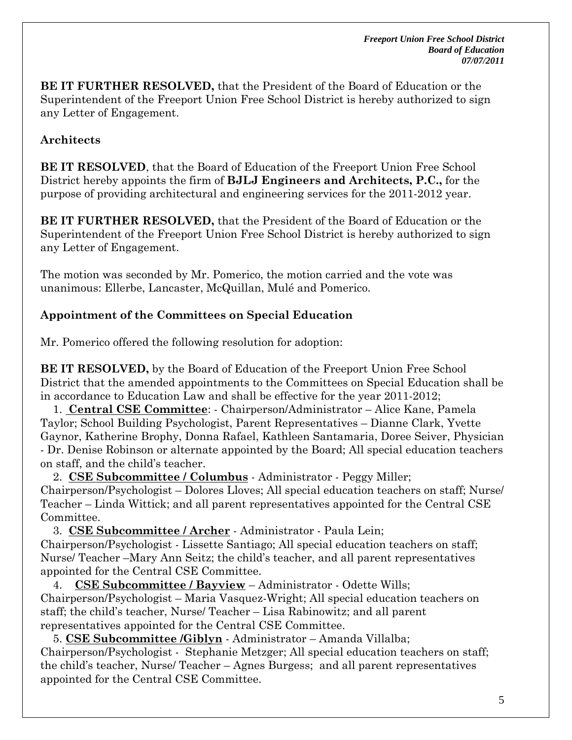**BE IT FURTHER RESOLVED,** that the President of the Board of Education or the Superintendent of the Freeport Union Free School District is hereby authorized to sign any Letter of Engagement.

## **Architects**

**BE IT RESOLVED**, that the Board of Education of the Freeport Union Free School District hereby appoints the firm of **BJLJ Engineers and Architects, P.C.,** for the purpose of providing architectural and engineering services for the 2011-2012 year.

**BE IT FURTHER RESOLVED,** that the President of the Board of Education or the Superintendent of the Freeport Union Free School District is hereby authorized to sign any Letter of Engagement.

The motion was seconded by Mr. Pomerico, the motion carried and the vote was unanimous: Ellerbe, Lancaster, McQuillan, Mulé and Pomerico.

## **Appointment of the Committees on Special Education**

Mr. Pomerico offered the following resolution for adoption:

**BE IT RESOLVED,** by the Board of Education of the Freeport Union Free School District that the amended appointments to the Committees on Special Education shall be in accordance to Education Law and shall be effective for the year 2011-2012;

 1. **Central CSE Committee**: - Chairperson/Administrator – Alice Kane, Pamela Taylor; School Building Psychologist, Parent Representatives – Dianne Clark, Yvette Gaynor, Katherine Brophy, Donna Rafael, Kathleen Santamaria, Doree Seiver, Physician - Dr. Denise Robinson or alternate appointed by the Board; All special education teachers on staff, and the child's teacher.

 2. **CSE Subcommittee / Columbus** - Administrator - Peggy Miller; Chairperson/Psychologist – Dolores Lloves; All special education teachers on staff; Nurse/ Teacher – Linda Wittick; and all parent representatives appointed for the Central CSE Committee.

 3. **CSE Subcommittee / Archer** - Administrator - Paula Lein; Chairperson/Psychologist - Lissette Santiago; All special education teachers on staff; Nurse/ Teacher –Mary Ann Seitz; the child's teacher, and all parent representatives appointed for the Central CSE Committee.

 4. **CSE Subcommittee / Bayview** – Administrator - Odette Wills; Chairperson/Psychologist – Maria Vasquez-Wright; All special education teachers on staff; the child's teacher, Nurse/ Teacher – Lisa Rabinowitz; and all parent representatives appointed for the Central CSE Committee.

 5. **CSE Subcommittee /Giblyn** - Administrator – Amanda Villalba; Chairperson/Psychologist - Stephanie Metzger; All special education teachers on staff; the child's teacher, Nurse/ Teacher – Agnes Burgess; and all parent representatives appointed for the Central CSE Committee.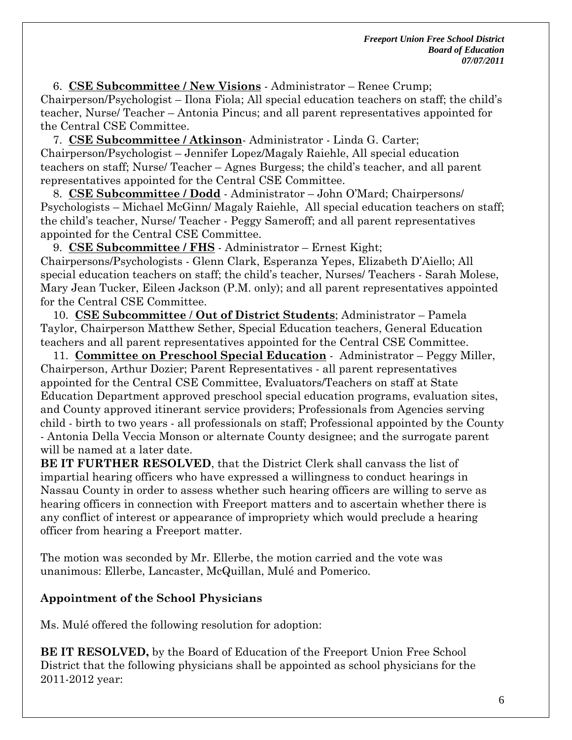6. **CSE Subcommittee / New Visions** - Administrator – Renee Crump; Chairperson/Psychologist – Ilona Fiola; All special education teachers on staff; the child's teacher, Nurse/ Teacher – Antonia Pincus; and all parent representatives appointed for the Central CSE Committee.

 7. **CSE Subcommittee / Atkinson**- Administrator - Linda G. Carter; Chairperson/Psychologist – Jennifer Lopez/Magaly Raiehle, All special education teachers on staff; Nurse/ Teacher – Agnes Burgess; the child's teacher, and all parent representatives appointed for the Central CSE Committee.

 8. **CSE Subcommittee / Dodd** - Administrator – John O'Mard; Chairpersons/ Psychologists – Michael McGinn/ Magaly Raiehle, All special education teachers on staff; the child's teacher, Nurse/ Teacher - Peggy Sameroff; and all parent representatives appointed for the Central CSE Committee.

 9. **CSE Subcommittee / FHS** - Administrator – Ernest Kight; Chairpersons/Psychologists - Glenn Clark, Esperanza Yepes, Elizabeth D'Aiello; All special education teachers on staff; the child's teacher, Nurses/ Teachers - Sarah Molese, Mary Jean Tucker, Eileen Jackson (P.M. only); and all parent representatives appointed for the Central CSE Committee.

 10. **CSE Subcommittee** / **Out of District Students**; Administrator – Pamela Taylor, Chairperson Matthew Sether, Special Education teachers, General Education teachers and all parent representatives appointed for the Central CSE Committee.

 11. **Committee on Preschool Special Education** - Administrator – Peggy Miller, Chairperson, Arthur Dozier; Parent Representatives - all parent representatives appointed for the Central CSE Committee, Evaluators/Teachers on staff at State Education Department approved preschool special education programs, evaluation sites, and County approved itinerant service providers; Professionals from Agencies serving child - birth to two years - all professionals on staff; Professional appointed by the County - Antonia Della Veccia Monson or alternate County designee; and the surrogate parent will be named at a later date.

**BE IT FURTHER RESOLVED**, that the District Clerk shall canvass the list of impartial hearing officers who have expressed a willingness to conduct hearings in Nassau County in order to assess whether such hearing officers are willing to serve as hearing officers in connection with Freeport matters and to ascertain whether there is any conflict of interest or appearance of impropriety which would preclude a hearing officer from hearing a Freeport matter.

The motion was seconded by Mr. Ellerbe, the motion carried and the vote was unanimous: Ellerbe, Lancaster, McQuillan, Mulé and Pomerico.

## **Appointment of the School Physicians**

Ms. Mulé offered the following resolution for adoption:

**BE IT RESOLVED,** by the Board of Education of the Freeport Union Free School District that the following physicians shall be appointed as school physicians for the 2011-2012 year: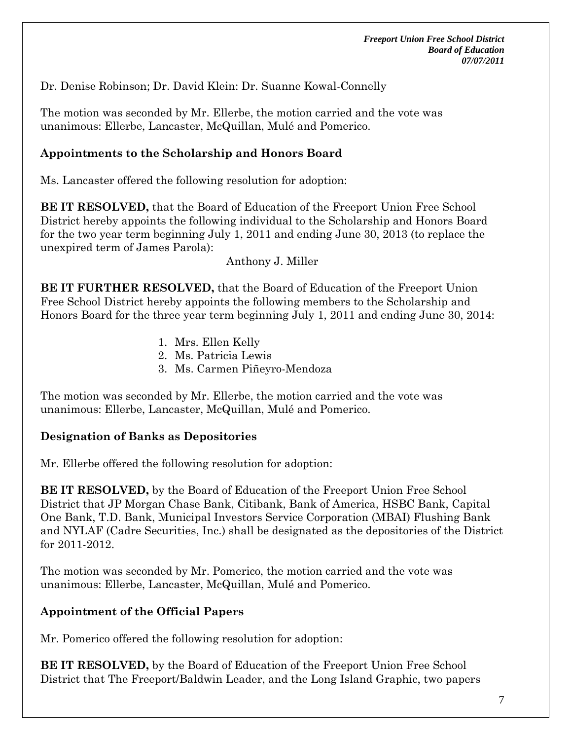Dr. Denise Robinson; Dr. David Klein: Dr. Suanne Kowal-Connelly

The motion was seconded by Mr. Ellerbe, the motion carried and the vote was unanimous: Ellerbe, Lancaster, McQuillan, Mulé and Pomerico.

### **Appointments to the Scholarship and Honors Board**

Ms. Lancaster offered the following resolution for adoption:

**BE IT RESOLVED,** that the Board of Education of the Freeport Union Free School District hereby appoints the following individual to the Scholarship and Honors Board for the two year term beginning July 1, 2011 and ending June 30, 2013 (to replace the unexpired term of James Parola):

Anthony J. Miller

**BE IT FURTHER RESOLVED,** that the Board of Education of the Freeport Union Free School District hereby appoints the following members to the Scholarship and Honors Board for the three year term beginning July 1, 2011 and ending June 30, 2014:

- 1. Mrs. Ellen Kelly
- 2. Ms. Patricia Lewis
- 3. Ms. Carmen Piñeyro-Mendoza

The motion was seconded by Mr. Ellerbe, the motion carried and the vote was unanimous: Ellerbe, Lancaster, McQuillan, Mulé and Pomerico.

## **Designation of Banks as Depositories**

Mr. Ellerbe offered the following resolution for adoption:

**BE IT RESOLVED,** by the Board of Education of the Freeport Union Free School District that JP Morgan Chase Bank, Citibank, Bank of America, HSBC Bank, Capital One Bank, T.D. Bank, Municipal Investors Service Corporation (MBAI) Flushing Bank and NYLAF (Cadre Securities, Inc.) shall be designated as the depositories of the District for 2011-2012.

The motion was seconded by Mr. Pomerico, the motion carried and the vote was unanimous: Ellerbe, Lancaster, McQuillan, Mulé and Pomerico.

## **Appointment of the Official Papers**

Mr. Pomerico offered the following resolution for adoption:

**BE IT RESOLVED,** by the Board of Education of the Freeport Union Free School District that The Freeport/Baldwin Leader, and the Long Island Graphic, two papers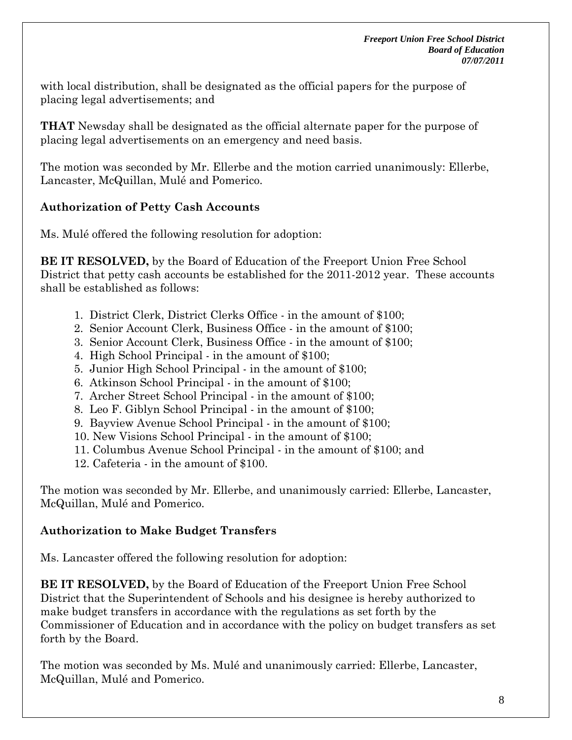with local distribution, shall be designated as the official papers for the purpose of placing legal advertisements; and

**THAT** Newsday shall be designated as the official alternate paper for the purpose of placing legal advertisements on an emergency and need basis.

The motion was seconded by Mr. Ellerbe and the motion carried unanimously: Ellerbe, Lancaster, McQuillan, Mulé and Pomerico.

# **Authorization of Petty Cash Accounts**

Ms. Mulé offered the following resolution for adoption:

**BE IT RESOLVED,** by the Board of Education of the Freeport Union Free School District that petty cash accounts be established for the 2011-2012 year. These accounts shall be established as follows:

- 1. District Clerk, District Clerks Office in the amount of \$100;
- 2. Senior Account Clerk, Business Office in the amount of \$100;
- 3. Senior Account Clerk, Business Office in the amount of \$100;
- 4. High School Principal in the amount of \$100;
- 5. Junior High School Principal in the amount of \$100;
- 6. Atkinson School Principal in the amount of \$100;
- 7. Archer Street School Principal in the amount of \$100;
- 8. Leo F. Giblyn School Principal in the amount of \$100;
- 9. Bayview Avenue School Principal in the amount of \$100;
- 10. New Visions School Principal in the amount of \$100;
- 11. Columbus Avenue School Principal in the amount of \$100; and
- 12. Cafeteria in the amount of \$100.

The motion was seconded by Mr. Ellerbe, and unanimously carried: Ellerbe, Lancaster, McQuillan, Mulé and Pomerico.

## **Authorization to Make Budget Transfers**

Ms. Lancaster offered the following resolution for adoption:

**BE IT RESOLVED,** by the Board of Education of the Freeport Union Free School District that the Superintendent of Schools and his designee is hereby authorized to make budget transfers in accordance with the regulations as set forth by the Commissioner of Education and in accordance with the policy on budget transfers as set forth by the Board.

The motion was seconded by Ms. Mulé and unanimously carried: Ellerbe, Lancaster, McQuillan, Mulé and Pomerico.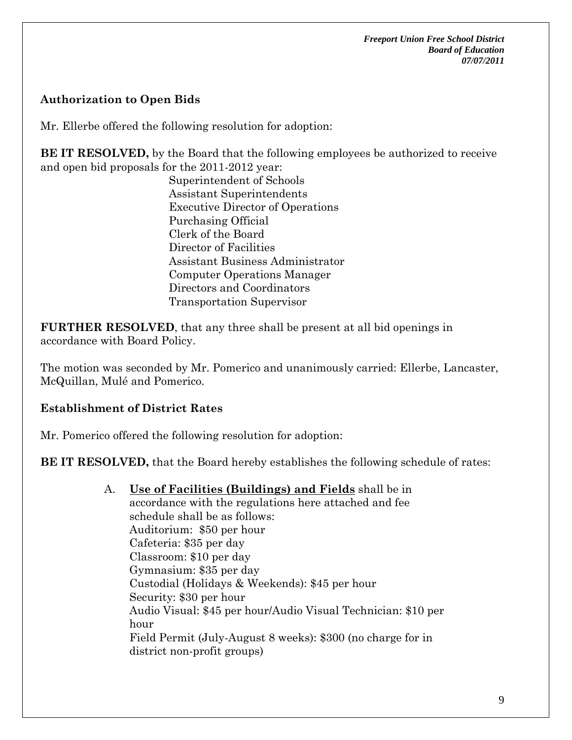## **Authorization to Open Bids**

Mr. Ellerbe offered the following resolution for adoption:

**BE IT RESOLVED**, by the Board that the following employees be authorized to receive and open bid proposals for the 2011-2012 year:

Superintendent of Schools Assistant Superintendents Executive Director of Operations Purchasing Official Clerk of the Board Director of Facilities Assistant Business Administrator Computer Operations Manager Directors and Coordinators Transportation Supervisor

**FURTHER RESOLVED**, that any three shall be present at all bid openings in accordance with Board Policy.

The motion was seconded by Mr. Pomerico and unanimously carried: Ellerbe, Lancaster, McQuillan, Mulé and Pomerico.

## **Establishment of District Rates**

Mr. Pomerico offered the following resolution for adoption:

**BE IT RESOLVED,** that the Board hereby establishes the following schedule of rates:

A. **Use of Facilities (Buildings) and Fields** shall be in accordance with the regulations here attached and fee schedule shall be as follows: Auditorium: \$50 per hour

Cafeteria: \$35 per day Classroom: \$10 per day Gymnasium: \$35 per day Custodial (Holidays & Weekends): \$45 per hour Security: \$30 per hour Audio Visual: \$45 per hour/Audio Visual Technician: \$10 per hour Field Permit (July-August 8 weeks): \$300 (no charge for in district non-profit groups)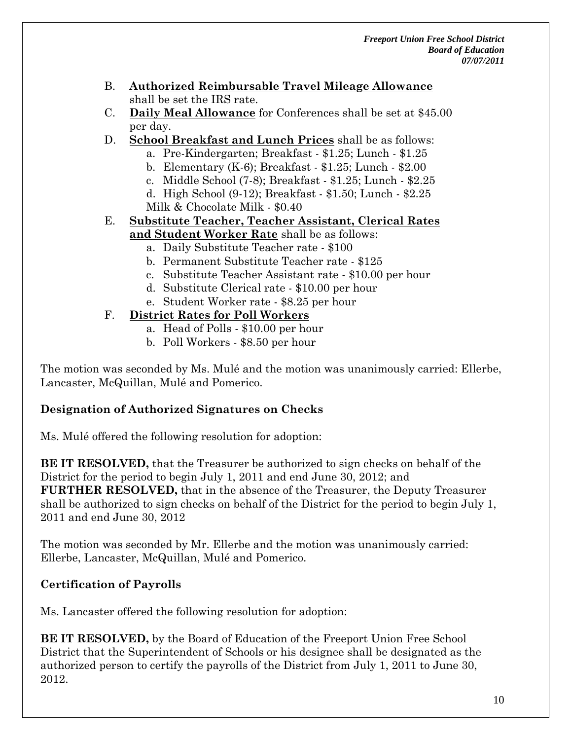- B. **Authorized Reimbursable Travel Mileage Allowance** shall be set the IRS rate.
- C. **Daily Meal Allowance** for Conferences shall be set at \$45.00 per day.
- D. **School Breakfast and Lunch Prices** shall be as follows:
	- a. Pre-Kindergarten; Breakfast \$1.25; Lunch \$1.25
	- b. Elementary (K-6); Breakfast \$1.25; Lunch \$2.00
	- c. Middle School (7-8); Breakfast \$1.25; Lunch \$2.25
	- d. High School (9-12); Breakfast \$1.50; Lunch \$2.25 Milk & Chocolate Milk - \$0.40
- E. **Substitute Teacher, Teacher Assistant, Clerical Rates and Student Worker Rate** shall be as follows:
	- a. Daily Substitute Teacher rate \$100
	- b. Permanent Substitute Teacher rate \$125
	- c. Substitute Teacher Assistant rate \$10.00 per hour
	- d. Substitute Clerical rate \$10.00 per hour
	- e. Student Worker rate \$8.25 per hour

## F. **District Rates for Poll Workers**

- a. Head of Polls \$10.00 per hour
- b. Poll Workers \$8.50 per hour

The motion was seconded by Ms. Mulé and the motion was unanimously carried: Ellerbe, Lancaster, McQuillan, Mulé and Pomerico.

## **Designation of Authorized Signatures on Checks**

Ms. Mulé offered the following resolution for adoption:

**BE IT RESOLVED,** that the Treasurer be authorized to sign checks on behalf of the District for the period to begin July 1, 2011 and end June 30, 2012; and **FURTHER RESOLVED,** that in the absence of the Treasurer, the Deputy Treasurer shall be authorized to sign checks on behalf of the District for the period to begin July 1, 2011 and end June 30, 2012

The motion was seconded by Mr. Ellerbe and the motion was unanimously carried: Ellerbe, Lancaster, McQuillan, Mulé and Pomerico.

# **Certification of Payrolls**

Ms. Lancaster offered the following resolution for adoption:

**BE IT RESOLVED,** by the Board of Education of the Freeport Union Free School District that the Superintendent of Schools or his designee shall be designated as the authorized person to certify the payrolls of the District from July 1, 2011 to June 30, 2012.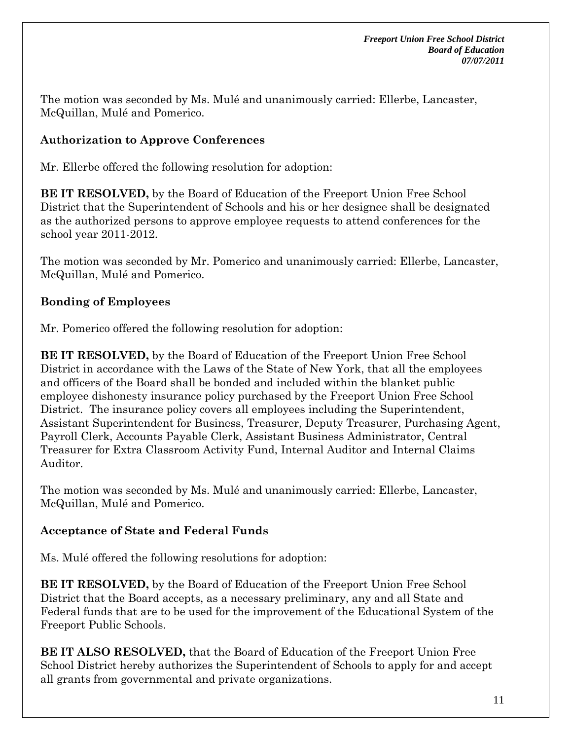The motion was seconded by Ms. Mulé and unanimously carried: Ellerbe, Lancaster, McQuillan, Mulé and Pomerico.

# **Authorization to Approve Conferences**

Mr. Ellerbe offered the following resolution for adoption:

**BE IT RESOLVED,** by the Board of Education of the Freeport Union Free School District that the Superintendent of Schools and his or her designee shall be designated as the authorized persons to approve employee requests to attend conferences for the school year 2011-2012.

The motion was seconded by Mr. Pomerico and unanimously carried: Ellerbe, Lancaster, McQuillan, Mulé and Pomerico.

# **Bonding of Employees**

Mr. Pomerico offered the following resolution for adoption:

**BE IT RESOLVED,** by the Board of Education of the Freeport Union Free School District in accordance with the Laws of the State of New York, that all the employees and officers of the Board shall be bonded and included within the blanket public employee dishonesty insurance policy purchased by the Freeport Union Free School District. The insurance policy covers all employees including the Superintendent, Assistant Superintendent for Business, Treasurer, Deputy Treasurer, Purchasing Agent, Payroll Clerk, Accounts Payable Clerk, Assistant Business Administrator, Central Treasurer for Extra Classroom Activity Fund, Internal Auditor and Internal Claims Auditor.

The motion was seconded by Ms. Mulé and unanimously carried: Ellerbe, Lancaster, McQuillan, Mulé and Pomerico.

## **Acceptance of State and Federal Funds**

Ms. Mulé offered the following resolutions for adoption:

**BE IT RESOLVED,** by the Board of Education of the Freeport Union Free School District that the Board accepts, as a necessary preliminary, any and all State and Federal funds that are to be used for the improvement of the Educational System of the Freeport Public Schools.

**BE IT ALSO RESOLVED,** that the Board of Education of the Freeport Union Free School District hereby authorizes the Superintendent of Schools to apply for and accept all grants from governmental and private organizations.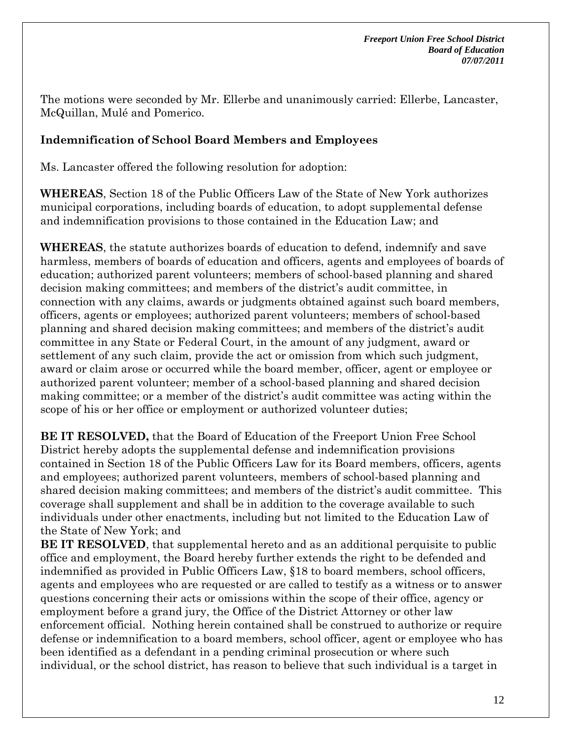The motions were seconded by Mr. Ellerbe and unanimously carried: Ellerbe, Lancaster, McQuillan, Mulé and Pomerico.

## **Indemnification of School Board Members and Employees**

Ms. Lancaster offered the following resolution for adoption:

**WHEREAS**, Section 18 of the Public Officers Law of the State of New York authorizes municipal corporations, including boards of education, to adopt supplemental defense and indemnification provisions to those contained in the Education Law; and

**WHEREAS**, the statute authorizes boards of education to defend, indemnify and save harmless, members of boards of education and officers, agents and employees of boards of education; authorized parent volunteers; members of school-based planning and shared decision making committees; and members of the district's audit committee, in connection with any claims, awards or judgments obtained against such board members, officers, agents or employees; authorized parent volunteers; members of school-based planning and shared decision making committees; and members of the district's audit committee in any State or Federal Court, in the amount of any judgment, award or settlement of any such claim, provide the act or omission from which such judgment, award or claim arose or occurred while the board member, officer, agent or employee or authorized parent volunteer; member of a school-based planning and shared decision making committee; or a member of the district's audit committee was acting within the scope of his or her office or employment or authorized volunteer duties;

**BE IT RESOLVED,** that the Board of Education of the Freeport Union Free School District hereby adopts the supplemental defense and indemnification provisions contained in Section 18 of the Public Officers Law for its Board members, officers, agents and employees; authorized parent volunteers, members of school-based planning and shared decision making committees; and members of the district's audit committee. This coverage shall supplement and shall be in addition to the coverage available to such individuals under other enactments, including but not limited to the Education Law of the State of New York; and

**BE IT RESOLVED**, that supplemental hereto and as an additional perquisite to public office and employment, the Board hereby further extends the right to be defended and indemnified as provided in Public Officers Law, §18 to board members, school officers, agents and employees who are requested or are called to testify as a witness or to answer questions concerning their acts or omissions within the scope of their office, agency or employment before a grand jury, the Office of the District Attorney or other law enforcement official. Nothing herein contained shall be construed to authorize or require defense or indemnification to a board members, school officer, agent or employee who has been identified as a defendant in a pending criminal prosecution or where such individual, or the school district, has reason to believe that such individual is a target in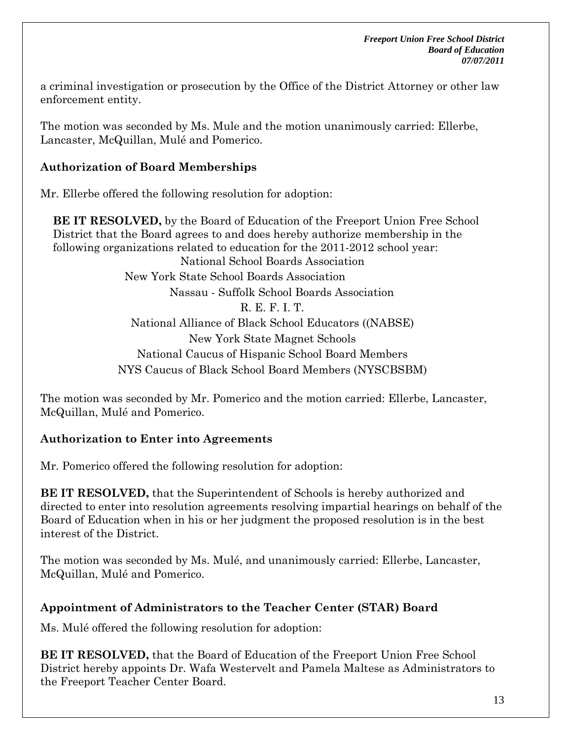a criminal investigation or prosecution by the Office of the District Attorney or other law enforcement entity.

The motion was seconded by Ms. Mule and the motion unanimously carried: Ellerbe, Lancaster, McQuillan, Mulé and Pomerico.

## **Authorization of Board Memberships**

Mr. Ellerbe offered the following resolution for adoption:

**BE IT RESOLVED,** by the Board of Education of the Freeport Union Free School District that the Board agrees to and does hereby authorize membership in the following organizations related to education for the 2011-2012 school year: National School Boards Association New York State School Boards Association Nassau - Suffolk School Boards Association R. E. F. I. T. National Alliance of Black School Educators ((NABSE) New York State Magnet Schools National Caucus of Hispanic School Board Members NYS Caucus of Black School Board Members (NYSCBSBM)

The motion was seconded by Mr. Pomerico and the motion carried: Ellerbe, Lancaster, McQuillan, Mulé and Pomerico.

## **Authorization to Enter into Agreements**

Mr. Pomerico offered the following resolution for adoption:

**BE IT RESOLVED,** that the Superintendent of Schools is hereby authorized and directed to enter into resolution agreements resolving impartial hearings on behalf of the Board of Education when in his or her judgment the proposed resolution is in the best interest of the District.

The motion was seconded by Ms. Mulé, and unanimously carried: Ellerbe, Lancaster, McQuillan, Mulé and Pomerico.

## **Appointment of Administrators to the Teacher Center (STAR) Board**

Ms. Mulé offered the following resolution for adoption:

**BE IT RESOLVED,** that the Board of Education of the Freeport Union Free School District hereby appoints Dr. Wafa Westervelt and Pamela Maltese as Administrators to the Freeport Teacher Center Board.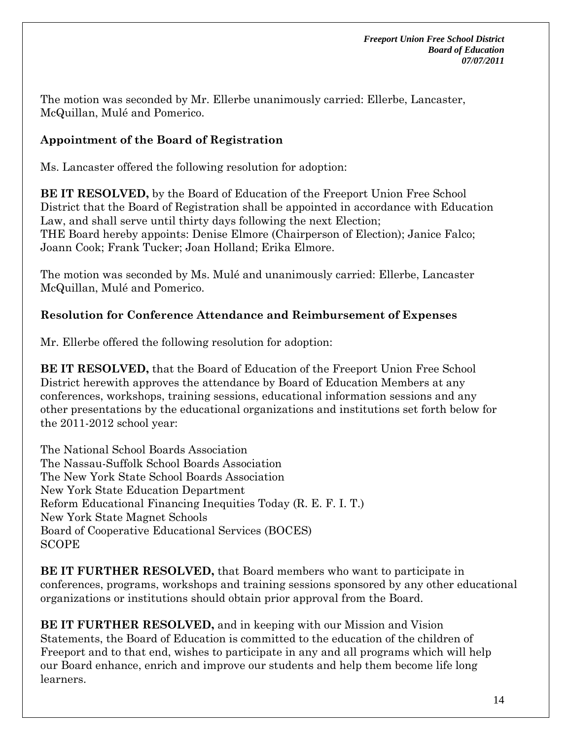The motion was seconded by Mr. Ellerbe unanimously carried: Ellerbe, Lancaster, McQuillan, Mulé and Pomerico.

# **Appointment of the Board of Registration**

Ms. Lancaster offered the following resolution for adoption:

**BE IT RESOLVED,** by the Board of Education of the Freeport Union Free School District that the Board of Registration shall be appointed in accordance with Education Law, and shall serve until thirty days following the next Election; THE Board hereby appoints: Denise Elmore (Chairperson of Election); Janice Falco; Joann Cook; Frank Tucker; Joan Holland; Erika Elmore.

The motion was seconded by Ms. Mulé and unanimously carried: Ellerbe, Lancaster McQuillan, Mulé and Pomerico.

## **Resolution for Conference Attendance and Reimbursement of Expenses**

Mr. Ellerbe offered the following resolution for adoption:

**BE IT RESOLVED,** that the Board of Education of the Freeport Union Free School District herewith approves the attendance by Board of Education Members at any conferences, workshops, training sessions, educational information sessions and any other presentations by the educational organizations and institutions set forth below for the 2011-2012 school year:

The National School Boards Association The Nassau-Suffolk School Boards Association The New York State School Boards Association New York State Education Department Reform Educational Financing Inequities Today (R. E. F. I. T.) New York State Magnet Schools Board of Cooperative Educational Services (BOCES) SCOPE

**BE IT FURTHER RESOLVED,** that Board members who want to participate in conferences, programs, workshops and training sessions sponsored by any other educational organizations or institutions should obtain prior approval from the Board.

**BE IT FURTHER RESOLVED,** and in keeping with our Mission and Vision Statements, the Board of Education is committed to the education of the children of Freeport and to that end, wishes to participate in any and all programs which will help our Board enhance, enrich and improve our students and help them become life long learners.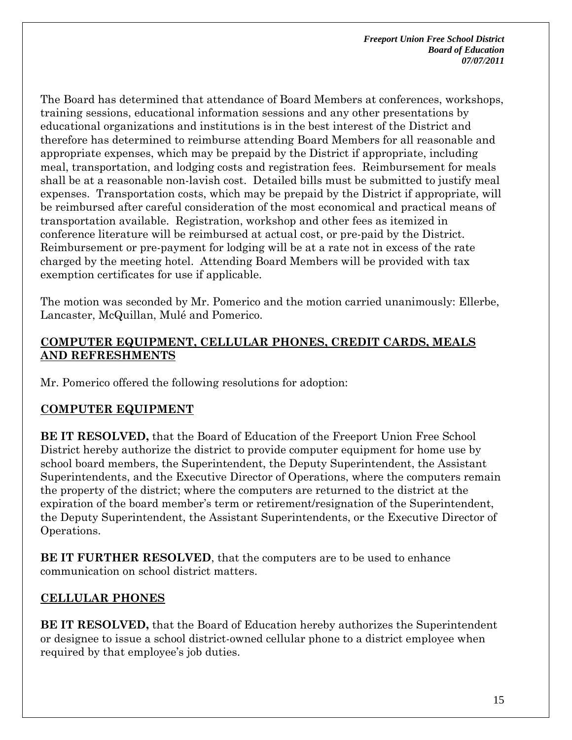The Board has determined that attendance of Board Members at conferences, workshops, training sessions, educational information sessions and any other presentations by educational organizations and institutions is in the best interest of the District and therefore has determined to reimburse attending Board Members for all reasonable and appropriate expenses, which may be prepaid by the District if appropriate, including meal, transportation, and lodging costs and registration fees. Reimbursement for meals shall be at a reasonable non-lavish cost. Detailed bills must be submitted to justify meal expenses. Transportation costs, which may be prepaid by the District if appropriate, will be reimbursed after careful consideration of the most economical and practical means of transportation available. Registration, workshop and other fees as itemized in conference literature will be reimbursed at actual cost, or pre-paid by the District. Reimbursement or pre-payment for lodging will be at a rate not in excess of the rate charged by the meeting hotel. Attending Board Members will be provided with tax exemption certificates for use if applicable.

The motion was seconded by Mr. Pomerico and the motion carried unanimously: Ellerbe, Lancaster, McQuillan, Mulé and Pomerico.

### **COMPUTER EQUIPMENT, CELLULAR PHONES, CREDIT CARDS, MEALS AND REFRESHMENTS**

Mr. Pomerico offered the following resolutions for adoption:

## **COMPUTER EQUIPMENT**

**BE IT RESOLVED,** that the Board of Education of the Freeport Union Free School District hereby authorize the district to provide computer equipment for home use by school board members, the Superintendent, the Deputy Superintendent, the Assistant Superintendents, and the Executive Director of Operations, where the computers remain the property of the district; where the computers are returned to the district at the expiration of the board member's term or retirement/resignation of the Superintendent, the Deputy Superintendent, the Assistant Superintendents, or the Executive Director of Operations.

**BE IT FURTHER RESOLVED**, that the computers are to be used to enhance communication on school district matters.

# **CELLULAR PHONES**

**BE IT RESOLVED,** that the Board of Education hereby authorizes the Superintendent or designee to issue a school district-owned cellular phone to a district employee when required by that employee's job duties.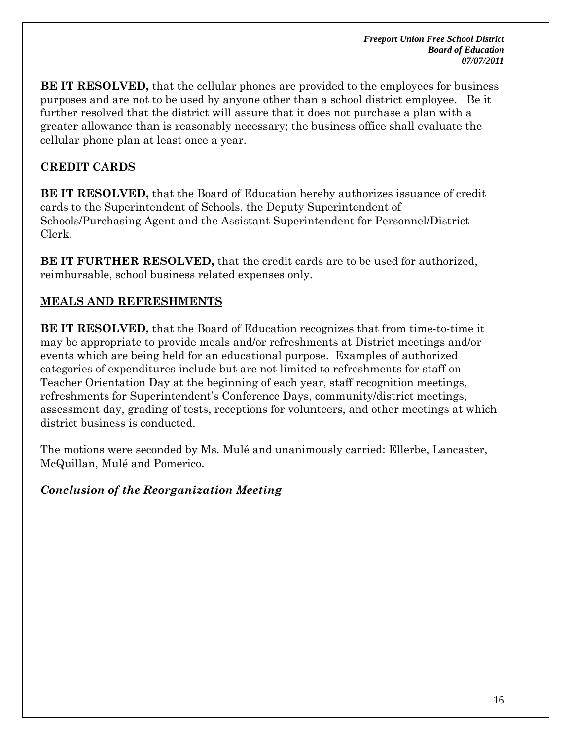**BE IT RESOLVED,** that the cellular phones are provided to the employees for business purposes and are not to be used by anyone other than a school district employee. Be it further resolved that the district will assure that it does not purchase a plan with a greater allowance than is reasonably necessary; the business office shall evaluate the cellular phone plan at least once a year.

### **CREDIT CARDS**

**BE IT RESOLVED,** that the Board of Education hereby authorizes issuance of credit cards to the Superintendent of Schools, the Deputy Superintendent of Schools/Purchasing Agent and the Assistant Superintendent for Personnel/District Clerk.

**BE IT FURTHER RESOLVED,** that the credit cards are to be used for authorized, reimbursable, school business related expenses only.

## **MEALS AND REFRESHMENTS**

**BE IT RESOLVED,** that the Board of Education recognizes that from time-to-time it may be appropriate to provide meals and/or refreshments at District meetings and/or events which are being held for an educational purpose. Examples of authorized categories of expenditures include but are not limited to refreshments for staff on Teacher Orientation Day at the beginning of each year, staff recognition meetings, refreshments for Superintendent's Conference Days, community/district meetings, assessment day, grading of tests, receptions for volunteers, and other meetings at which district business is conducted.

The motions were seconded by Ms. Mulé and unanimously carried: Ellerbe, Lancaster, McQuillan, Mulé and Pomerico.

### *Conclusion of the Reorganization Meeting*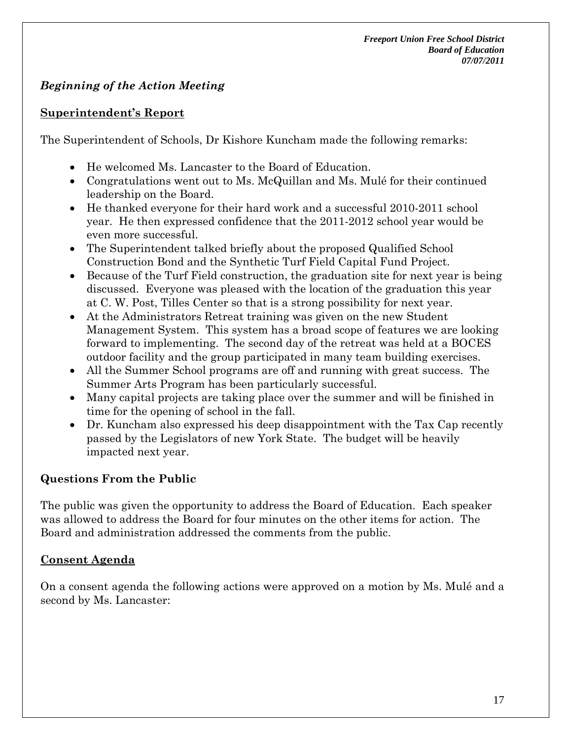# *Beginning of the Action Meeting*

### **Superintendent's Report**

The Superintendent of Schools, Dr Kishore Kuncham made the following remarks:

- He welcomed Ms. Lancaster to the Board of Education.
- Congratulations went out to Ms. McQuillan and Ms. Mulé for their continued leadership on the Board.
- He thanked everyone for their hard work and a successful 2010-2011 school year. He then expressed confidence that the 2011-2012 school year would be even more successful.
- The Superintendent talked briefly about the proposed Qualified School Construction Bond and the Synthetic Turf Field Capital Fund Project.
- Because of the Turf Field construction, the graduation site for next year is being discussed. Everyone was pleased with the location of the graduation this year at C. W. Post, Tilles Center so that is a strong possibility for next year.
- At the Administrators Retreat training was given on the new Student Management System. This system has a broad scope of features we are looking forward to implementing. The second day of the retreat was held at a BOCES outdoor facility and the group participated in many team building exercises.
- All the Summer School programs are off and running with great success. The Summer Arts Program has been particularly successful.
- Many capital projects are taking place over the summer and will be finished in time for the opening of school in the fall.
- Dr. Kuncham also expressed his deep disappointment with the Tax Cap recently passed by the Legislators of new York State. The budget will be heavily impacted next year.

## **Questions From the Public**

The public was given the opportunity to address the Board of Education. Each speaker was allowed to address the Board for four minutes on the other items for action. The Board and administration addressed the comments from the public.

## **Consent Agenda**

On a consent agenda the following actions were approved on a motion by Ms. Mulé and a second by Ms. Lancaster: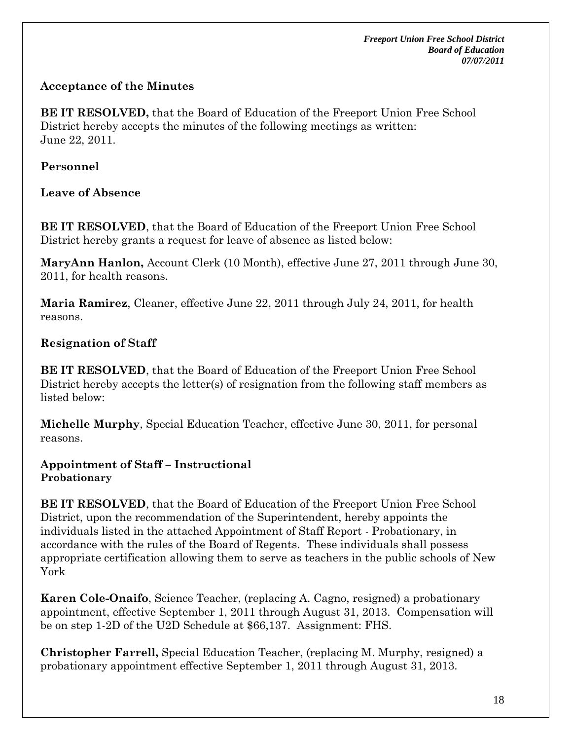## **Acceptance of the Minutes**

**BE IT RESOLVED,** that the Board of Education of the Freeport Union Free School District hereby accepts the minutes of the following meetings as written: June 22, 2011.

## **Personnel**

**Leave of Absence** 

**BE IT RESOLVED**, that the Board of Education of the Freeport Union Free School District hereby grants a request for leave of absence as listed below:

**MaryAnn Hanlon,** Account Clerk (10 Month), effective June 27, 2011 through June 30, 2011, for health reasons.

**Maria Ramirez**, Cleaner, effective June 22, 2011 through July 24, 2011, for health reasons.

# **Resignation of Staff**

**BE IT RESOLVED**, that the Board of Education of the Freeport Union Free School District hereby accepts the letter(s) of resignation from the following staff members as listed below:

**Michelle Murphy**, Special Education Teacher, effective June 30, 2011, for personal reasons.

**Appointment of Staff – Instructional Probationary**

**BE IT RESOLVED**, that the Board of Education of the Freeport Union Free School District, upon the recommendation of the Superintendent, hereby appoints the individuals listed in the attached Appointment of Staff Report - Probationary, in accordance with the rules of the Board of Regents. These individuals shall possess appropriate certification allowing them to serve as teachers in the public schools of New York

**Karen Cole-Onaifo**, Science Teacher, (replacing A. Cagno, resigned) a probationary appointment, effective September 1, 2011 through August 31, 2013. Compensation will be on step 1-2D of the U2D Schedule at \$66,137. Assignment: FHS.

**Christopher Farrell,** Special Education Teacher, (replacing M. Murphy, resigned) a probationary appointment effective September 1, 2011 through August 31, 2013.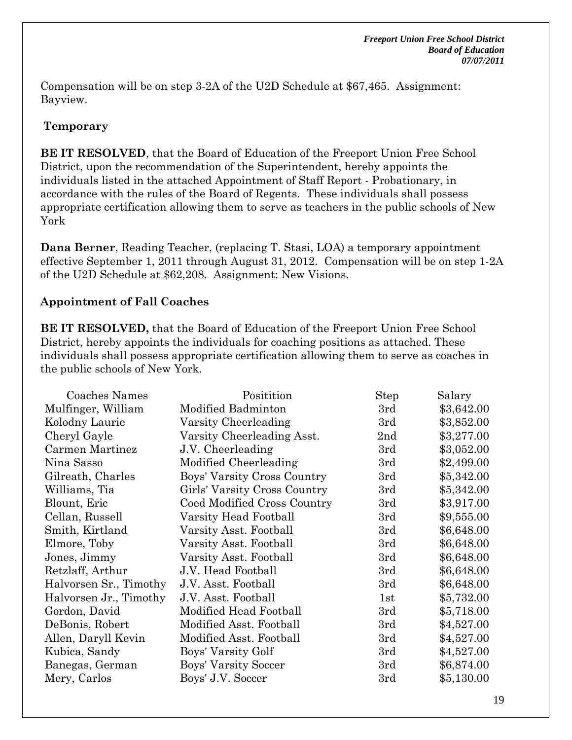Compensation will be on step 3-2A of the U2D Schedule at \$67,465. Assignment: Bayview.

## **Temporary**

**BE IT RESOLVED**, that the Board of Education of the Freeport Union Free School District, upon the recommendation of the Superintendent, hereby appoints the individuals listed in the attached Appointment of Staff Report - Probationary, in accordance with the rules of the Board of Regents. These individuals shall possess appropriate certification allowing them to serve as teachers in the public schools of New York

**Dana Berner**, Reading Teacher, (replacing T. Stasi, LOA) a temporary appointment effective September 1, 2011 through August 31, 2012. Compensation will be on step 1-2A of the U2D Schedule at \$62,208. Assignment: New Visions.

## **Appointment of Fall Coaches**

**BE IT RESOLVED,** that the Board of Education of the Freeport Union Free School District, hereby appoints the individuals for coaching positions as attached. These individuals shall possess appropriate certification allowing them to serve as coaches in the public schools of New York.

| Coaches Names          | Positition                   | <b>Step</b> | Salary     |
|------------------------|------------------------------|-------------|------------|
| Mulfinger, William     | Modified Badminton           | 3rd         | \$3,642.00 |
| Kolodny Laurie         | Varsity Cheerleading         | 3rd         | \$3,852.00 |
| Cheryl Gayle           | Varsity Cheerleading Asst.   | 2nd         | \$3,277.00 |
| Carmen Martinez        | J.V. Cheerleading            | 3rd         | \$3,052.00 |
| Nina Sasso             | Modified Cheerleading        | 3rd         | \$2,499.00 |
| Gilreath, Charles      | Boys' Varsity Cross Country  | 3rd         | \$5,342.00 |
| Williams, Tia          | Girls' Varsity Cross Country | 3rd         | \$5,342.00 |
| Blount, Eric           | Coed Modified Cross Country  | 3rd         | \$3,917.00 |
| Cellan, Russell        | Varsity Head Football        | 3rd         | \$9,555.00 |
| Smith, Kirtland        | Varsity Asst. Football       | 3rd         | \$6,648.00 |
| Elmore, Toby           | Varsity Asst. Football       | 3rd         | \$6,648.00 |
| Jones, Jimmy           | Varsity Asst. Football       | 3rd         | \$6,648.00 |
| Retzlaff, Arthur       | J.V. Head Football           | 3rd         | \$6,648.00 |
| Halvorsen Sr., Timothy | J.V. Asst. Football          | 3rd         | \$6,648.00 |
| Halvorsen Jr., Timothy | J.V. Asst. Football          | 1st         | \$5,732.00 |
| Gordon, David          | Modified Head Football       | 3rd         | \$5,718.00 |
| DeBonis, Robert        | Modified Asst. Football      | 3rd         | \$4,527.00 |
| Allen, Daryll Kevin    | Modified Asst. Football      | 3rd         | \$4,527.00 |
| Kubica, Sandy          | Boys' Varsity Golf           | 3rd         | \$4,527.00 |
| Banegas, German        | Boys' Varsity Soccer         | 3rd         | \$6,874.00 |
| Mery, Carlos           | Boys' J.V. Soccer            | 3rd         | \$5,130.00 |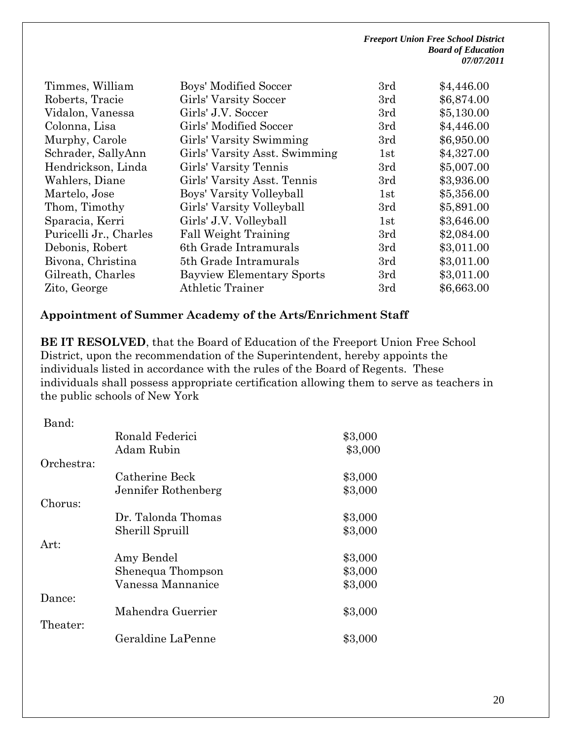| Timmes, William        | Boys' Modified Soccer            | 3rd | \$4,446.00 |
|------------------------|----------------------------------|-----|------------|
| Roberts, Tracie        | Girls' Varsity Soccer            | 3rd | \$6,874.00 |
| Vidalon, Vanessa       | Girls' J.V. Soccer               | 3rd | \$5,130.00 |
| Colonna, Lisa          | Girls' Modified Soccer           | 3rd | \$4,446.00 |
| Murphy, Carole         | Girls' Varsity Swimming          | 3rd | \$6,950.00 |
| Schrader, SallyAnn     | Girls' Varsity Asst. Swimming    | 1st | \$4,327.00 |
| Hendrickson, Linda     | Girls' Varsity Tennis            | 3rd | \$5,007.00 |
| Wahlers, Diane         | Girls' Varsity Asst. Tennis      | 3rd | \$3,936.00 |
| Martelo, Jose          | Boys' Varsity Volleyball         | 1st | \$5,356.00 |
| Thom, Timothy          | Girls' Varsity Volleyball        | 3rd | \$5,891.00 |
| Sparacia, Kerri        | Girls' J.V. Volleyball           | 1st | \$3,646.00 |
| Puricelli Jr., Charles | <b>Fall Weight Training</b>      | 3rd | \$2,084.00 |
| Debonis, Robert        | 6th Grade Intramurals            | 3rd | \$3,011.00 |
| Bivona, Christina      | 5th Grade Intramurals            | 3rd | \$3,011.00 |
| Gilreath, Charles      | <b>Bayview Elementary Sports</b> | 3rd | \$3,011.00 |
| Zito, George           | <b>Athletic Trainer</b>          | 3rd | \$6,663.00 |
|                        |                                  |     |            |

### **Appointment of Summer Academy of the Arts/Enrichment Staff**

**BE IT RESOLVED**, that the Board of Education of the Freeport Union Free School District, upon the recommendation of the Superintendent, hereby appoints the individuals listed in accordance with the rules of the Board of Regents. These individuals shall possess appropriate certification allowing them to serve as teachers in the public schools of New York

| Band:      |                     |         |
|------------|---------------------|---------|
|            | Ronald Federici     | \$3,000 |
|            | Adam Rubin          | \$3,000 |
| Orchestra: |                     |         |
|            | Catherine Beck      | \$3,000 |
|            | Jennifer Rothenberg | \$3,000 |
| Chorus:    |                     |         |
|            | Dr. Talonda Thomas  | \$3,000 |
|            | Sherill Spruill     | \$3,000 |
| Art:       |                     |         |
|            | Amy Bendel          | \$3,000 |
|            | Shenequa Thompson   | \$3,000 |
|            | Vanessa Mannanice   | \$3,000 |
| Dance:     |                     |         |
|            | Mahendra Guerrier   | \$3,000 |
| Theater:   |                     |         |
|            | Geraldine LaPenne   | \$3,000 |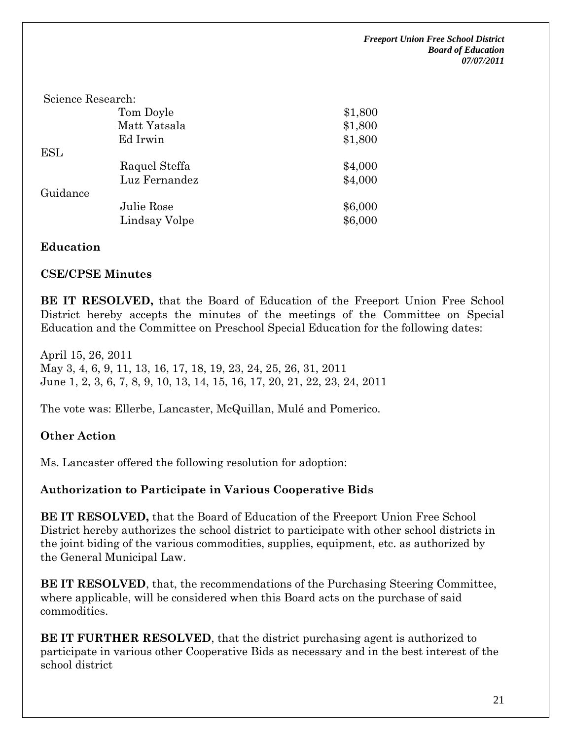| \$1,800 |
|---------|
| \$1,800 |
| \$1,800 |
|         |
| \$4,000 |
| \$4,000 |
|         |
| \$6,000 |
| \$6,000 |
|         |

#### **Education**

#### **CSE/CPSE Minutes**

**BE IT RESOLVED,** that the Board of Education of the Freeport Union Free School District hereby accepts the minutes of the meetings of the Committee on Special Education and the Committee on Preschool Special Education for the following dates:

April 15, 26, 2011 May 3, 4, 6, 9, 11, 13, 16, 17, 18, 19, 23, 24, 25, 26, 31, 2011 June 1, 2, 3, 6, 7, 8, 9, 10, 13, 14, 15, 16, 17, 20, 21, 22, 23, 24, 2011

The vote was: Ellerbe, Lancaster, McQuillan, Mulé and Pomerico.

#### **Other Action**

Ms. Lancaster offered the following resolution for adoption:

#### **Authorization to Participate in Various Cooperative Bids**

**BE IT RESOLVED,** that the Board of Education of the Freeport Union Free School District hereby authorizes the school district to participate with other school districts in the joint biding of the various commodities, supplies, equipment, etc. as authorized by the General Municipal Law.

**BE IT RESOLVED**, that, the recommendations of the Purchasing Steering Committee, where applicable, will be considered when this Board acts on the purchase of said commodities.

**BE IT FURTHER RESOLVED**, that the district purchasing agent is authorized to participate in various other Cooperative Bids as necessary and in the best interest of the school district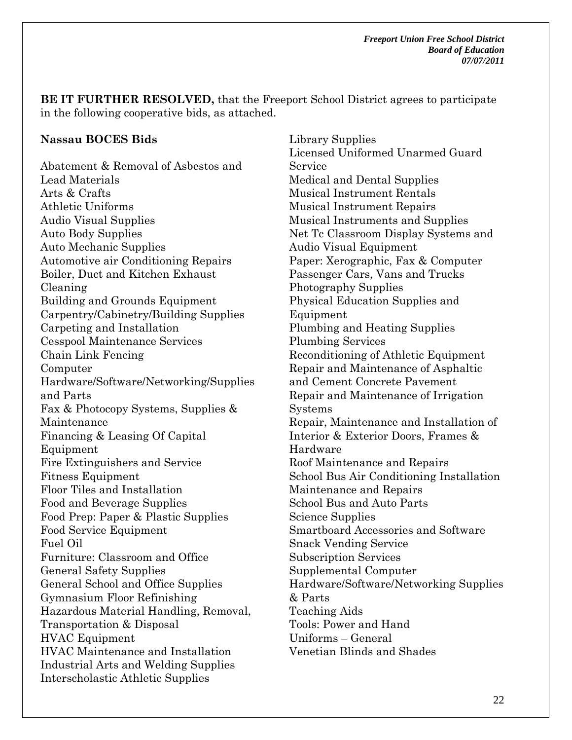**BE IT FURTHER RESOLVED,** that the Freeport School District agrees to participate in the following cooperative bids, as attached.

#### **Nassau BOCES Bids**

Abatement & Removal of Asbestos and Lead Materials Arts & Crafts Athletic Uniforms Audio Visual Supplies Auto Body Supplies Auto Mechanic Supplies Automotive air Conditioning Repairs Boiler, Duct and Kitchen Exhaust Cleaning Building and Grounds Equipment Carpentry/Cabinetry/Building Supplies Carpeting and Installation Cesspool Maintenance Services Chain Link Fencing Computer Hardware/Software/Networking/Supplies and Parts Fax & Photocopy Systems, Supplies & Maintenance Financing & Leasing Of Capital Equipment Fire Extinguishers and Service Fitness Equipment Floor Tiles and Installation Food and Beverage Supplies Food Prep: Paper & Plastic Supplies Food Service Equipment Fuel Oil Furniture: Classroom and Office General Safety Supplies General School and Office Supplies Gymnasium Floor Refinishing Hazardous Material Handling, Removal, Transportation & Disposal HVAC Equipment HVAC Maintenance and Installation Industrial Arts and Welding Supplies Interscholastic Athletic Supplies

Library Supplies Licensed Uniformed Unarmed Guard Service Medical and Dental Supplies Musical Instrument Rentals Musical Instrument Repairs Musical Instruments and Supplies Net Tc Classroom Display Systems and Audio Visual Equipment Paper: Xerographic, Fax & Computer Passenger Cars, Vans and Trucks Photography Supplies Physical Education Supplies and Equipment Plumbing and Heating Supplies Plumbing Services Reconditioning of Athletic Equipment Repair and Maintenance of Asphaltic and Cement Concrete Pavement Repair and Maintenance of Irrigation Systems Repair, Maintenance and Installation of Interior & Exterior Doors, Frames & Hardware Roof Maintenance and Repairs School Bus Air Conditioning Installation Maintenance and Repairs School Bus and Auto Parts Science Supplies Smartboard Accessories and Software Snack Vending Service Subscription Services Supplemental Computer Hardware/Software/Networking Supplies & Parts Teaching Aids Tools: Power and Hand Uniforms – General Venetian Blinds and Shades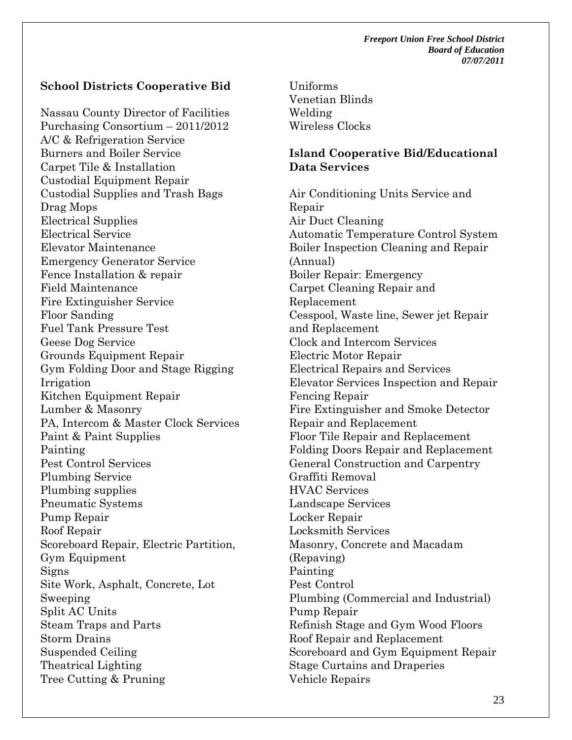#### **School Districts Cooperative Bid**

Nassau County Director of Facilities Purchasing Consortium – 2011/2012 A/C & Refrigeration Service Burners and Boiler Service Carpet Tile & Installation Custodial Equipment Repair Custodial Supplies and Trash Bags Drag Mops Electrical Supplies Electrical Service Elevator Maintenance Emergency Generator Service Fence Installation & repair Field Maintenance Fire Extinguisher Service Floor Sanding Fuel Tank Pressure Test Geese Dog Service Grounds Equipment Repair Gym Folding Door and Stage Rigging Irrigation Kitchen Equipment Repair Lumber & Masonry PA, Intercom & Master Clock Services Paint & Paint Supplies Painting Pest Control Services Plumbing Service Plumbing supplies Pneumatic Systems Pump Repair Roof Repair Scoreboard Repair, Electric Partition, Gym Equipment Signs Site Work, Asphalt, Concrete, Lot Sweeping Split AC Units Steam Traps and Parts Storm Drains Suspended Ceiling Theatrical Lighting Tree Cutting & Pruning

Uniforms Venetian Blinds Welding Wireless Clocks

#### **Island Cooperative Bid/Educational Data Services**

Air Conditioning Units Service and Repair Air Duct Cleaning Automatic Temperature Control System Boiler Inspection Cleaning and Repair (Annual) Boiler Repair: Emergency Carpet Cleaning Repair and Replacement Cesspool, Waste line, Sewer jet Repair and Replacement Clock and Intercom Services Electric Motor Repair Electrical Repairs and Services Elevator Services Inspection and Repair Fencing Repair Fire Extinguisher and Smoke Detector Repair and Replacement Floor Tile Repair and Replacement Folding Doors Repair and Replacement General Construction and Carpentry Graffiti Removal HVAC Services Landscape Services Locker Repair Locksmith Services Masonry, Concrete and Macadam (Repaving) Painting Pest Control Plumbing (Commercial and Industrial) Pump Repair Refinish Stage and Gym Wood Floors Roof Repair and Replacement Scoreboard and Gym Equipment Repair Stage Curtains and Draperies Vehicle Repairs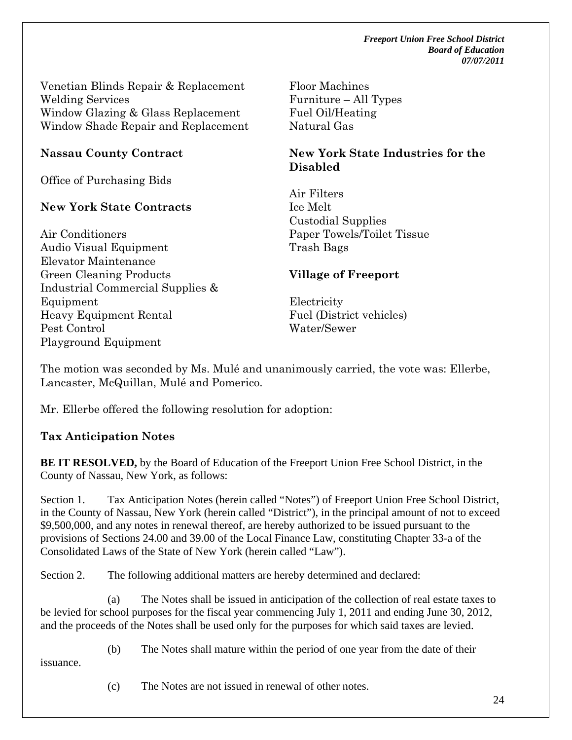Venetian Blinds Repair & Replacement Welding Services Window Glazing & Glass Replacement Window Shade Repair and Replacement

## **Nassau County Contract**

Office of Purchasing Bids

## **New York State Contracts**

Air Conditioners Audio Visual Equipment Elevator Maintenance Green Cleaning Products Industrial Commercial Supplies & Equipment Heavy Equipment Rental Pest Control Playground Equipment

Floor Machines Furniture – All Types Fuel Oil/Heating Natural Gas

### **New York State Industries for the Disabled**

Air Filters Ice Melt Custodial Supplies Paper Towels/Toilet Tissue Trash Bags

## **Village of Freeport**

Electricity Fuel (District vehicles) Water/Sewer

The motion was seconded by Ms. Mulé and unanimously carried, the vote was: Ellerbe, Lancaster, McQuillan, Mulé and Pomerico.

Mr. Ellerbe offered the following resolution for adoption:

## **Tax Anticipation Notes**

**BE IT RESOLVED,** by the Board of Education of the Freeport Union Free School District, in the County of Nassau, New York, as follows:

Section 1. Tax Anticipation Notes (herein called "Notes") of Freeport Union Free School District, in the County of Nassau, New York (herein called "District"), in the principal amount of not to exceed \$9,500,000, and any notes in renewal thereof, are hereby authorized to be issued pursuant to the provisions of Sections 24.00 and 39.00 of the Local Finance Law, constituting Chapter 33-a of the Consolidated Laws of the State of New York (herein called "Law").

Section 2. The following additional matters are hereby determined and declared:

(a) The Notes shall be issued in anticipation of the collection of real estate taxes to be levied for school purposes for the fiscal year commencing July 1, 2011 and ending June 30, 2012, and the proceeds of the Notes shall be used only for the purposes for which said taxes are levied.

issuance.

(b) The Notes shall mature within the period of one year from the date of their

(c) The Notes are not issued in renewal of other notes.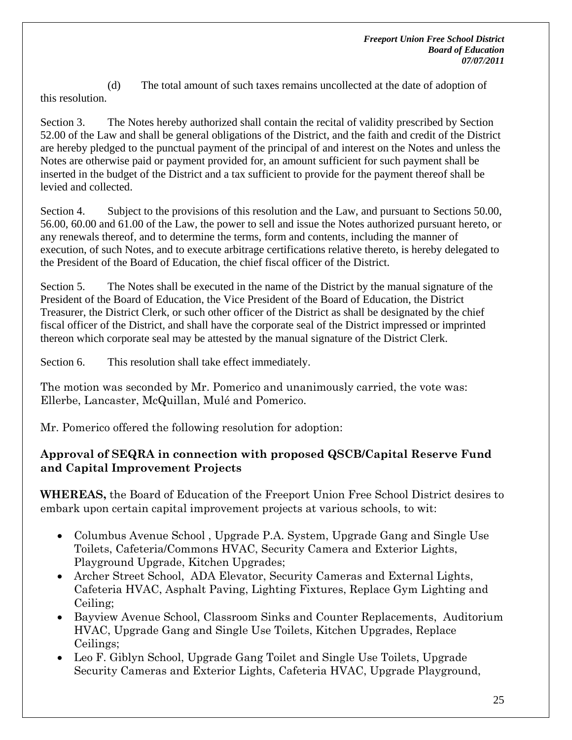(d) The total amount of such taxes remains uncollected at the date of adoption of this resolution.

Section 3. The Notes hereby authorized shall contain the recital of validity prescribed by Section 52.00 of the Law and shall be general obligations of the District, and the faith and credit of the District are hereby pledged to the punctual payment of the principal of and interest on the Notes and unless the Notes are otherwise paid or payment provided for, an amount sufficient for such payment shall be inserted in the budget of the District and a tax sufficient to provide for the payment thereof shall be levied and collected.

Section 4. Subject to the provisions of this resolution and the Law, and pursuant to Sections 50.00, 56.00, 60.00 and 61.00 of the Law, the power to sell and issue the Notes authorized pursuant hereto, or any renewals thereof, and to determine the terms, form and contents, including the manner of execution, of such Notes, and to execute arbitrage certifications relative thereto, is hereby delegated to the President of the Board of Education, the chief fiscal officer of the District.

Section 5. The Notes shall be executed in the name of the District by the manual signature of the President of the Board of Education, the Vice President of the Board of Education, the District Treasurer, the District Clerk, or such other officer of the District as shall be designated by the chief fiscal officer of the District, and shall have the corporate seal of the District impressed or imprinted thereon which corporate seal may be attested by the manual signature of the District Clerk.

Section 6. This resolution shall take effect immediately.

The motion was seconded by Mr. Pomerico and unanimously carried, the vote was: Ellerbe, Lancaster, McQuillan, Mulé and Pomerico.

Mr. Pomerico offered the following resolution for adoption:

# **Approval of SEQRA in connection with proposed QSCB/Capital Reserve Fund and Capital Improvement Projects**

**WHEREAS,** the Board of Education of the Freeport Union Free School District desires to embark upon certain capital improvement projects at various schools, to wit:

- Columbus Avenue School, Upgrade P.A. System, Upgrade Gang and Single Use Toilets, Cafeteria/Commons HVAC, Security Camera and Exterior Lights, Playground Upgrade, Kitchen Upgrades;
- Archer Street School, ADA Elevator, Security Cameras and External Lights, Cafeteria HVAC, Asphalt Paving, Lighting Fixtures, Replace Gym Lighting and Ceiling;
- Bayview Avenue School, Classroom Sinks and Counter Replacements, Auditorium HVAC, Upgrade Gang and Single Use Toilets, Kitchen Upgrades, Replace Ceilings;
- Leo F. Giblyn School, Upgrade Gang Toilet and Single Use Toilets, Upgrade Security Cameras and Exterior Lights, Cafeteria HVAC, Upgrade Playground,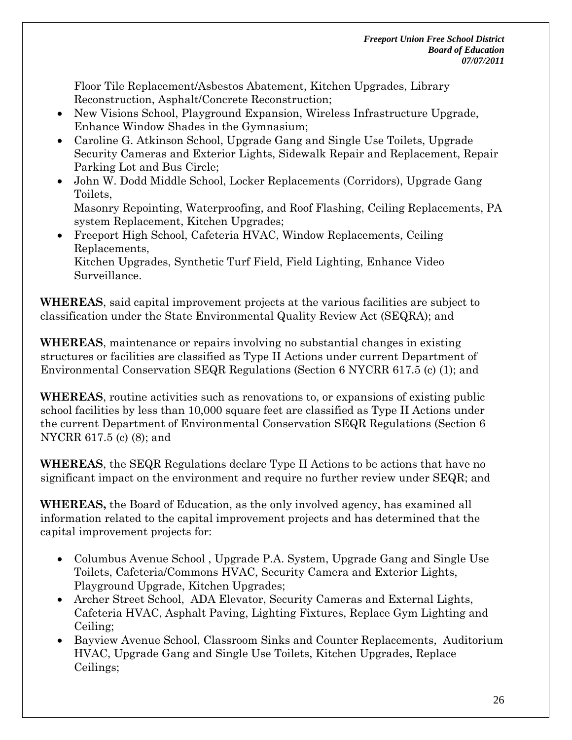Floor Tile Replacement/Asbestos Abatement, Kitchen Upgrades, Library Reconstruction, Asphalt/Concrete Reconstruction;

- New Visions School, Playground Expansion, Wireless Infrastructure Upgrade, Enhance Window Shades in the Gymnasium;
- Caroline G. Atkinson School, Upgrade Gang and Single Use Toilets, Upgrade Security Cameras and Exterior Lights, Sidewalk Repair and Replacement, Repair Parking Lot and Bus Circle;
- John W. Dodd Middle School, Locker Replacements (Corridors), Upgrade Gang Toilets,

Masonry Repointing, Waterproofing, and Roof Flashing, Ceiling Replacements, PA system Replacement, Kitchen Upgrades;

• Freeport High School, Cafeteria HVAC, Window Replacements, Ceiling Replacements, Kitchen Upgrades, Synthetic Turf Field, Field Lighting, Enhance Video Surveillance.

**WHEREAS**, said capital improvement projects at the various facilities are subject to classification under the State Environmental Quality Review Act (SEQRA); and

**WHEREAS**, maintenance or repairs involving no substantial changes in existing structures or facilities are classified as Type II Actions under current Department of Environmental Conservation SEQR Regulations (Section 6 NYCRR 617.5 (c) (1); and

**WHEREAS**, routine activities such as renovations to, or expansions of existing public school facilities by less than 10,000 square feet are classified as Type II Actions under the current Department of Environmental Conservation SEQR Regulations (Section 6 NYCRR 617.5 (c) (8); and

**WHEREAS**, the SEQR Regulations declare Type II Actions to be actions that have no significant impact on the environment and require no further review under SEQR; and

**WHEREAS,** the Board of Education, as the only involved agency, has examined all information related to the capital improvement projects and has determined that the capital improvement projects for:

- Columbus Avenue School, Upgrade P.A. System, Upgrade Gang and Single Use Toilets, Cafeteria/Commons HVAC, Security Camera and Exterior Lights, Playground Upgrade, Kitchen Upgrades;
- Archer Street School, ADA Elevator, Security Cameras and External Lights, Cafeteria HVAC, Asphalt Paving, Lighting Fixtures, Replace Gym Lighting and Ceiling;
- Bayview Avenue School, Classroom Sinks and Counter Replacements, Auditorium HVAC, Upgrade Gang and Single Use Toilets, Kitchen Upgrades, Replace Ceilings;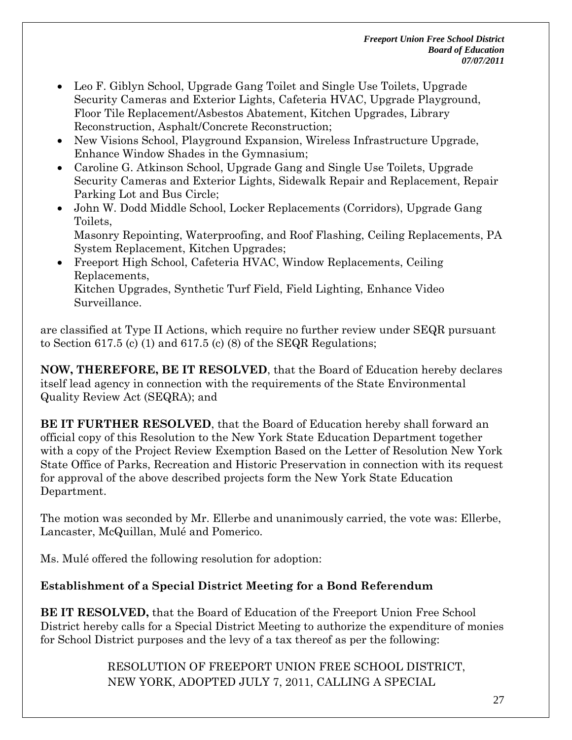- Leo F. Giblyn School, Upgrade Gang Toilet and Single Use Toilets, Upgrade Security Cameras and Exterior Lights, Cafeteria HVAC, Upgrade Playground, Floor Tile Replacement/Asbestos Abatement, Kitchen Upgrades, Library Reconstruction, Asphalt/Concrete Reconstruction;
- New Visions School, Playground Expansion, Wireless Infrastructure Upgrade, Enhance Window Shades in the Gymnasium;
- Caroline G. Atkinson School, Upgrade Gang and Single Use Toilets, Upgrade Security Cameras and Exterior Lights, Sidewalk Repair and Replacement, Repair Parking Lot and Bus Circle;
- John W. Dodd Middle School, Locker Replacements (Corridors), Upgrade Gang Toilets,

Masonry Repointing, Waterproofing, and Roof Flashing, Ceiling Replacements, PA System Replacement, Kitchen Upgrades;

 Freeport High School, Cafeteria HVAC, Window Replacements, Ceiling Replacements, Kitchen Upgrades, Synthetic Turf Field, Field Lighting, Enhance Video Surveillance.

are classified at Type II Actions, which require no further review under SEQR pursuant to Section 617.5 (c) (1) and 617.5 (c) (8) of the SEQR Regulations;

**NOW, THEREFORE, BE IT RESOLVED**, that the Board of Education hereby declares itself lead agency in connection with the requirements of the State Environmental Quality Review Act (SEQRA); and

**BE IT FURTHER RESOLVED**, that the Board of Education hereby shall forward an official copy of this Resolution to the New York State Education Department together with a copy of the Project Review Exemption Based on the Letter of Resolution New York State Office of Parks, Recreation and Historic Preservation in connection with its request for approval of the above described projects form the New York State Education Department.

The motion was seconded by Mr. Ellerbe and unanimously carried, the vote was: Ellerbe, Lancaster, McQuillan, Mulé and Pomerico.

Ms. Mulé offered the following resolution for adoption:

# **Establishment of a Special District Meeting for a Bond Referendum**

**BE IT RESOLVED,** that the Board of Education of the Freeport Union Free School District hereby calls for a Special District Meeting to authorize the expenditure of monies for School District purposes and the levy of a tax thereof as per the following:

> RESOLUTION OF FREEPORT UNION FREE SCHOOL DISTRICT, NEW YORK, ADOPTED JULY 7, 2011, CALLING A SPECIAL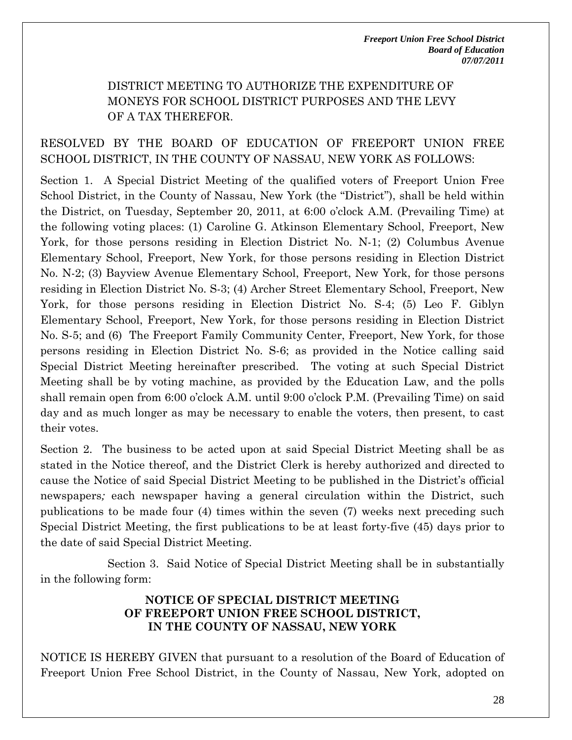## DISTRICT MEETING TO AUTHORIZE THE EXPENDITURE OF MONEYS FOR SCHOOL DISTRICT PURPOSES AND THE LEVY OF A TAX THEREFOR.

## RESOLVED BY THE BOARD OF EDUCATION OF FREEPORT UNION FREE SCHOOL DISTRICT, IN THE COUNTY OF NASSAU, NEW YORK AS FOLLOWS:

Section 1. A Special District Meeting of the qualified voters of Freeport Union Free School District, in the County of Nassau, New York (the "District"), shall be held within the District, on Tuesday, September 20, 2011, at 6:00 o'clock A.M. (Prevailing Time) at the following voting places: (1) Caroline G. Atkinson Elementary School, Freeport, New York, for those persons residing in Election District No. N-1; (2) Columbus Avenue Elementary School, Freeport, New York, for those persons residing in Election District No. N-2; (3) Bayview Avenue Elementary School, Freeport, New York, for those persons residing in Election District No. S-3; (4) Archer Street Elementary School, Freeport, New York, for those persons residing in Election District No. S-4; (5) Leo F. Giblyn Elementary School, Freeport, New York, for those persons residing in Election District No. S-5; and (6) The Freeport Family Community Center, Freeport, New York, for those persons residing in Election District No. S-6; as provided in the Notice calling said Special District Meeting hereinafter prescribed. The voting at such Special District Meeting shall be by voting machine, as provided by the Education Law, and the polls shall remain open from 6:00 o'clock A.M. until 9:00 o'clock P.M. (Prevailing Time) on said day and as much longer as may be necessary to enable the voters, then present, to cast their votes.

Section 2. The business to be acted upon at said Special District Meeting shall be as stated in the Notice thereof, and the District Clerk is hereby authorized and directed to cause the Notice of said Special District Meeting to be published in the District's official newspapers*;* each newspaper having a general circulation within the District, such publications to be made four (4) times within the seven (7) weeks next preceding such Special District Meeting, the first publications to be at least forty-five (45) days prior to the date of said Special District Meeting.

Section 3. Said Notice of Special District Meeting shall be in substantially in the following form:

#### **NOTICE OF SPECIAL DISTRICT MEETING OF FREEPORT UNION FREE SCHOOL DISTRICT, IN THE COUNTY OF NASSAU, NEW YORK**

NOTICE IS HEREBY GIVEN that pursuant to a resolution of the Board of Education of Freeport Union Free School District, in the County of Nassau, New York, adopted on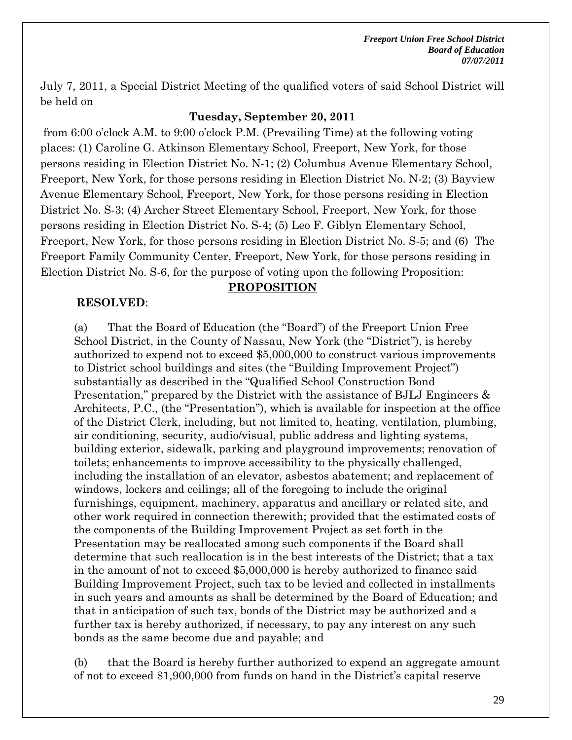July 7, 2011, a Special District Meeting of the qualified voters of said School District will be held on

#### **Tuesday, September 20, 2011**

 from 6:00 o'clock A.M. to 9:00 o'clock P.M. (Prevailing Time) at the following voting places: (1) Caroline G. Atkinson Elementary School, Freeport, New York, for those persons residing in Election District No. N-1; (2) Columbus Avenue Elementary School, Freeport, New York, for those persons residing in Election District No. N-2; (3) Bayview Avenue Elementary School, Freeport, New York, for those persons residing in Election District No. S-3; (4) Archer Street Elementary School, Freeport, New York, for those persons residing in Election District No. S-4; (5) Leo F. Giblyn Elementary School, Freeport, New York, for those persons residing in Election District No. S-5; and (6) The Freeport Family Community Center, Freeport, New York, for those persons residing in Election District No. S-6, for the purpose of voting upon the following Proposition:

### **RESOLVED**:

#### **PROPOSITION**

(a) That the Board of Education (the "Board") of the Freeport Union Free School District, in the County of Nassau, New York (the "District"), is hereby authorized to expend not to exceed \$5,000,000 to construct various improvements to District school buildings and sites (the "Building Improvement Project") substantially as described in the "Qualified School Construction Bond Presentation," prepared by the District with the assistance of BJLJ Engineers & Architects, P.C., (the "Presentation"), which is available for inspection at the office of the District Clerk, including, but not limited to, heating, ventilation, plumbing, air conditioning, security, audio/visual, public address and lighting systems, building exterior, sidewalk, parking and playground improvements; renovation of toilets; enhancements to improve accessibility to the physically challenged, including the installation of an elevator, asbestos abatement; and replacement of windows, lockers and ceilings; all of the foregoing to include the original furnishings, equipment, machinery, apparatus and ancillary or related site, and other work required in connection therewith; provided that the estimated costs of the components of the Building Improvement Project as set forth in the Presentation may be reallocated among such components if the Board shall determine that such reallocation is in the best interests of the District; that a tax in the amount of not to exceed \$5,000,000 is hereby authorized to finance said Building Improvement Project, such tax to be levied and collected in installments in such years and amounts as shall be determined by the Board of Education; and that in anticipation of such tax, bonds of the District may be authorized and a further tax is hereby authorized, if necessary, to pay any interest on any such bonds as the same become due and payable; and

#### (b) that the Board is hereby further authorized to expend an aggregate amount of not to exceed \$1,900,000 from funds on hand in the District's capital reserve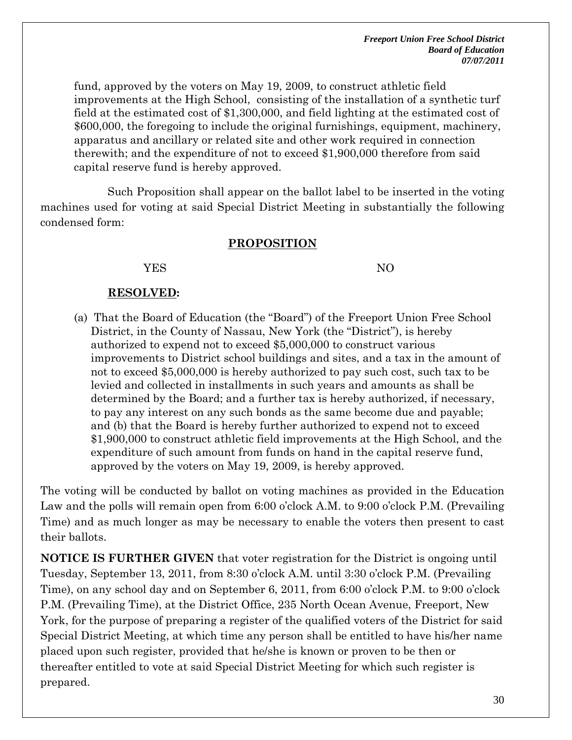fund, approved by the voters on May 19, 2009, to construct athletic field improvements at the High School, consisting of the installation of a synthetic turf field at the estimated cost of \$1,300,000, and field lighting at the estimated cost of \$600,000, the foregoing to include the original furnishings, equipment, machinery, apparatus and ancillary or related site and other work required in connection therewith; and the expenditure of not to exceed \$1,900,000 therefore from said capital reserve fund is hereby approved.

Such Proposition shall appear on the ballot label to be inserted in the voting machines used for voting at said Special District Meeting in substantially the following condensed form:

#### **PROPOSITION**

#### YES NO

#### **RESOLVED:**

(a) That the Board of Education (the "Board") of the Freeport Union Free School District, in the County of Nassau, New York (the "District"), is hereby authorized to expend not to exceed \$5,000,000 to construct various improvements to District school buildings and sites, and a tax in the amount of not to exceed \$5,000,000 is hereby authorized to pay such cost, such tax to be levied and collected in installments in such years and amounts as shall be determined by the Board; and a further tax is hereby authorized, if necessary, to pay any interest on any such bonds as the same become due and payable; and (b) that the Board is hereby further authorized to expend not to exceed \$1,900,000 to construct athletic field improvements at the High School, and the expenditure of such amount from funds on hand in the capital reserve fund, approved by the voters on May 19, 2009, is hereby approved.

The voting will be conducted by ballot on voting machines as provided in the Education Law and the polls will remain open from 6:00 o'clock A.M. to 9:00 o'clock P.M. (Prevailing Time) and as much longer as may be necessary to enable the voters then present to cast their ballots.

**NOTICE IS FURTHER GIVEN** that voter registration for the District is ongoing until Tuesday, September 13, 2011, from 8:30 o'clock A.M. until 3:30 o'clock P.M. (Prevailing Time), on any school day and on September 6, 2011, from 6:00 o'clock P.M. to 9:00 o'clock P.M. (Prevailing Time), at the District Office, 235 North Ocean Avenue, Freeport, New York, for the purpose of preparing a register of the qualified voters of the District for said Special District Meeting, at which time any person shall be entitled to have his/her name placed upon such register, provided that he/she is known or proven to be then or thereafter entitled to vote at said Special District Meeting for which such register is prepared.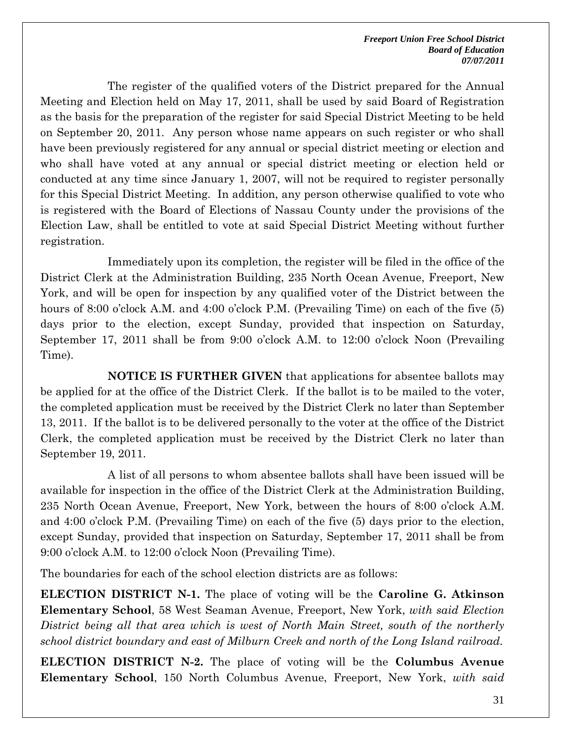The register of the qualified voters of the District prepared for the Annual Meeting and Election held on May 17, 2011, shall be used by said Board of Registration as the basis for the preparation of the register for said Special District Meeting to be held on September 20, 2011. Any person whose name appears on such register or who shall have been previously registered for any annual or special district meeting or election and who shall have voted at any annual or special district meeting or election held or conducted at any time since January 1, 2007, will not be required to register personally for this Special District Meeting. In addition, any person otherwise qualified to vote who is registered with the Board of Elections of Nassau County under the provisions of the Election Law, shall be entitled to vote at said Special District Meeting without further registration.

Immediately upon its completion, the register will be filed in the office of the District Clerk at the Administration Building, 235 North Ocean Avenue, Freeport, New York, and will be open for inspection by any qualified voter of the District between the hours of 8:00 o'clock A.M. and 4:00 o'clock P.M. (Prevailing Time) on each of the five (5) days prior to the election, except Sunday, provided that inspection on Saturday, September 17, 2011 shall be from 9:00 o'clock A.M. to 12:00 o'clock Noon (Prevailing Time).

**NOTICE IS FURTHER GIVEN** that applications for absentee ballots may be applied for at the office of the District Clerk. If the ballot is to be mailed to the voter, the completed application must be received by the District Clerk no later than September 13, 2011. If the ballot is to be delivered personally to the voter at the office of the District Clerk, the completed application must be received by the District Clerk no later than September 19, 2011.

A list of all persons to whom absentee ballots shall have been issued will be available for inspection in the office of the District Clerk at the Administration Building, 235 North Ocean Avenue, Freeport, New York, between the hours of 8:00 o'clock A.M. and 4:00 o'clock P.M. (Prevailing Time) on each of the five (5) days prior to the election, except Sunday, provided that inspection on Saturday, September 17, 2011 shall be from 9:00 o'clock A.M. to 12:00 o'clock Noon (Prevailing Time).

The boundaries for each of the school election districts are as follows:

**ELECTION DISTRICT N-1.** The place of voting will be the **Caroline G. Atkinson Elementary School**, 58 West Seaman Avenue, Freeport, New York, *with said Election District being all that area which is west of North Main Street, south of the northerly school district boundary and east of Milburn Creek and north of the Long Island railroad.*

**ELECTION DISTRICT N-2.** The place of voting will be the **Columbus Avenue Elementary School**, 150 North Columbus Avenue, Freeport, New York, *with said*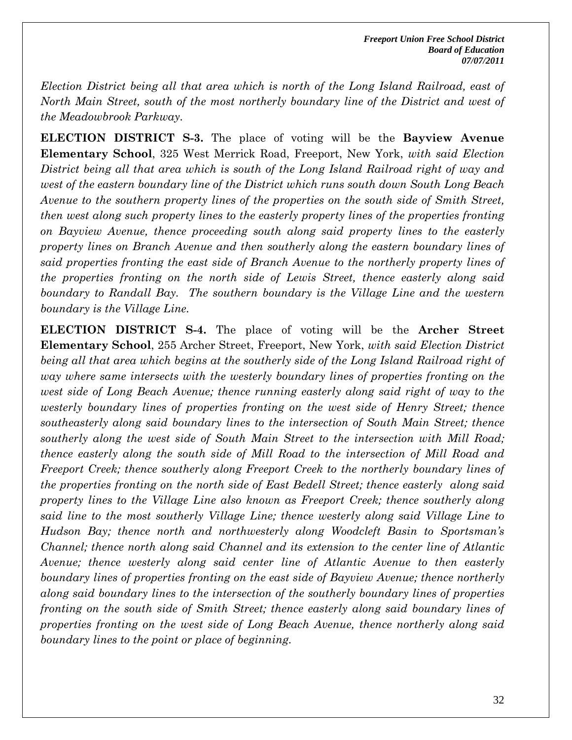*Election District being all that area which is north of the Long Island Railroad, east of North Main Street, south of the most northerly boundary line of the District and west of the Meadowbrook Parkway.* 

**ELECTION DISTRICT S-3.** The place of voting will be the **Bayview Avenue Elementary School**, 325 West Merrick Road, Freeport, New York, *with said Election District being all that area which is south of the Long Island Railroad right of way and west of the eastern boundary line of the District which runs south down South Long Beach Avenue to the southern property lines of the properties on the south side of Smith Street, then west along such property lines to the easterly property lines of the properties fronting on Bayview Avenue, thence proceeding south along said property lines to the easterly property lines on Branch Avenue and then southerly along the eastern boundary lines of said properties fronting the east side of Branch Avenue to the northerly property lines of the properties fronting on the north side of Lewis Street, thence easterly along said boundary to Randall Bay. The southern boundary is the Village Line and the western boundary is the Village Line.*

**ELECTION DISTRICT S-4.** The place of voting will be the **Archer Street Elementary School**, 255 Archer Street, Freeport, New York, *with said Election District being all that area which begins at the southerly side of the Long Island Railroad right of way where same intersects with the westerly boundary lines of properties fronting on the west side of Long Beach Avenue; thence running easterly along said right of way to the westerly boundary lines of properties fronting on the west side of Henry Street; thence southeasterly along said boundary lines to the intersection of South Main Street; thence southerly along the west side of South Main Street to the intersection with Mill Road; thence easterly along the south side of Mill Road to the intersection of Mill Road and Freeport Creek; thence southerly along Freeport Creek to the northerly boundary lines of the properties fronting on the north side of East Bedell Street; thence easterly along said property lines to the Village Line also known as Freeport Creek; thence southerly along said line to the most southerly Village Line; thence westerly along said Village Line to Hudson Bay; thence north and northwesterly along Woodcleft Basin to Sportsman's Channel; thence north along said Channel and its extension to the center line of Atlantic Avenue; thence westerly along said center line of Atlantic Avenue to then easterly boundary lines of properties fronting on the east side of Bayview Avenue; thence northerly along said boundary lines to the intersection of the southerly boundary lines of properties fronting on the south side of Smith Street; thence easterly along said boundary lines of properties fronting on the west side of Long Beach Avenue, thence northerly along said boundary lines to the point or place of beginning.*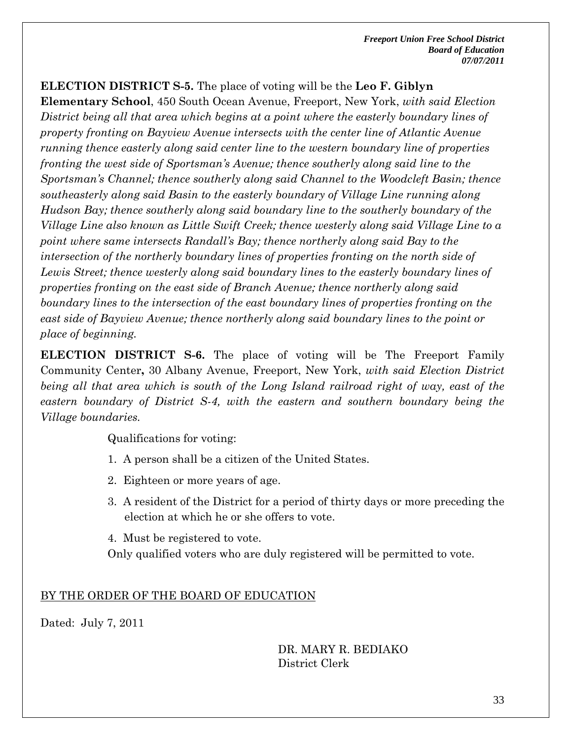**ELECTION DISTRICT S-5.** The place of voting will be the **Leo F. Giblyn** 

**Elementary School**, 450 South Ocean Avenue, Freeport, New York, *with said Election District being all that area which begins at a point where the easterly boundary lines of property fronting on Bayview Avenue intersects with the center line of Atlantic Avenue running thence easterly along said center line to the western boundary line of properties fronting the west side of Sportsman's Avenue; thence southerly along said line to the Sportsman's Channel; thence southerly along said Channel to the Woodcleft Basin; thence southeasterly along said Basin to the easterly boundary of Village Line running along Hudson Bay; thence southerly along said boundary line to the southerly boundary of the Village Line also known as Little Swift Creek; thence westerly along said Village Line to a point where same intersects Randall's Bay; thence northerly along said Bay to the intersection of the northerly boundary lines of properties fronting on the north side of* Lewis Street; thence westerly along said boundary lines to the easterly boundary lines of *properties fronting on the east side of Branch Avenue; thence northerly along said boundary lines to the intersection of the east boundary lines of properties fronting on the east side of Bayview Avenue; thence northerly along said boundary lines to the point or place of beginning.* 

**ELECTION DISTRICT S-6.** The place of voting will be The Freeport Family Community Center**,** 30 Albany Avenue, Freeport, New York, *with said Election District being all that area which is south of the Long Island railroad right of way, east of the eastern boundary of District S-4, with the eastern and southern boundary being the Village boundaries.* 

Qualifications for voting:

- 1. A person shall be a citizen of the United States.
- 2. Eighteen or more years of age.
- 3. A resident of the District for a period of thirty days or more preceding the election at which he or she offers to vote.

4. Must be registered to vote.

Only qualified voters who are duly registered will be permitted to vote.

## BY THE ORDER OF THE BOARD OF EDUCATION

Dated: July 7, 2011

DR. MARY R. BEDIAKO District Clerk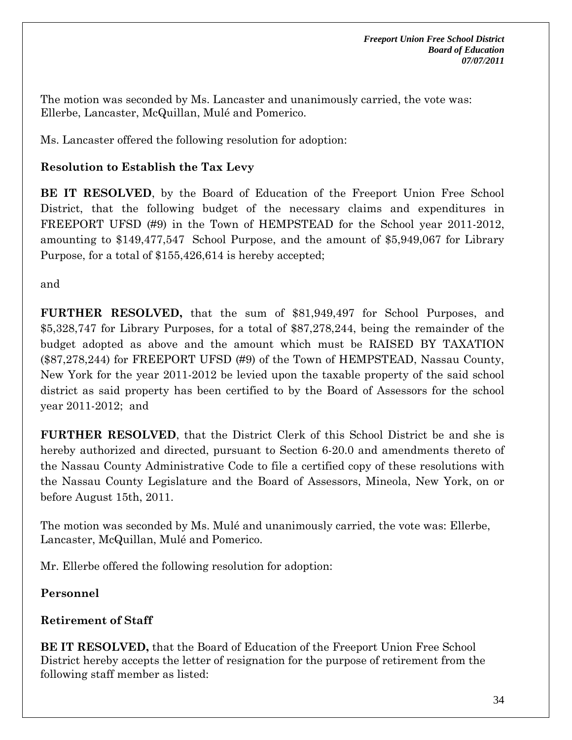The motion was seconded by Ms. Lancaster and unanimously carried, the vote was: Ellerbe, Lancaster, McQuillan, Mulé and Pomerico.

Ms. Lancaster offered the following resolution for adoption:

## **Resolution to Establish the Tax Levy**

**BE IT RESOLVED**, by the Board of Education of the Freeport Union Free School District, that the following budget of the necessary claims and expenditures in FREEPORT UFSD (#9) in the Town of HEMPSTEAD for the School year 2011-2012, amounting to \$149,477,547 School Purpose, and the amount of \$5,949,067 for Library Purpose, for a total of \$155,426,614 is hereby accepted;

and

**FURTHER RESOLVED,** that the sum of \$81,949,497 for School Purposes, and \$5,328,747 for Library Purposes, for a total of \$87,278,244, being the remainder of the budget adopted as above and the amount which must be RAISED BY TAXATION (\$87,278,244) for FREEPORT UFSD (#9) of the Town of HEMPSTEAD, Nassau County, New York for the year 2011-2012 be levied upon the taxable property of the said school district as said property has been certified to by the Board of Assessors for the school year 2011-2012; and

**FURTHER RESOLVED**, that the District Clerk of this School District be and she is hereby authorized and directed, pursuant to Section 6-20.0 and amendments thereto of the Nassau County Administrative Code to file a certified copy of these resolutions with the Nassau County Legislature and the Board of Assessors, Mineola, New York, on or before August 15th, 2011.

The motion was seconded by Ms. Mulé and unanimously carried, the vote was: Ellerbe, Lancaster, McQuillan, Mulé and Pomerico.

Mr. Ellerbe offered the following resolution for adoption:

**Personnel** 

## **Retirement of Staff**

**BE IT RESOLVED,** that the Board of Education of the Freeport Union Free School District hereby accepts the letter of resignation for the purpose of retirement from the following staff member as listed: